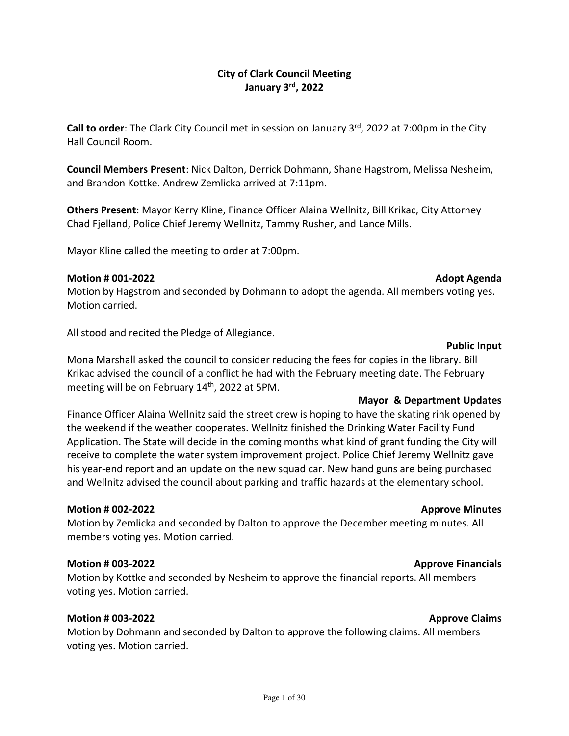City of Clark Council Meeting January 3rd, 2022

Call to order: The Clark City Council met in session on January 3<sup>rd</sup>, 2022 at 7:00pm in the City Hall Council Room.

Council Members Present: Nick Dalton, Derrick Dohmann, Shane Hagstrom, Melissa Nesheim, and Brandon Kottke. Andrew Zemlicka arrived at 7:11pm.

Others Present: Mayor Kerry Kline, Finance Officer Alaina Wellnitz, Bill Krikac, City Attorney Chad Fjelland, Police Chief Jeremy Wellnitz, Tammy Rusher, and Lance Mills.

Mayor Kline called the meeting to order at 7:00pm.

#### Motion # 001-2022 Adopt Agenda

Motion by Hagstrom and seconded by Dohmann to adopt the agenda. All members voting yes. Motion carried.

All stood and recited the Pledge of Allegiance.

#### Public Input

Mona Marshall asked the council to consider reducing the fees for copies in the library. Bill Krikac advised the council of a conflict he had with the February meeting date. The February meeting will be on February 14<sup>th</sup>, 2022 at 5PM.

#### Mayor & Department Updates

Finance Officer Alaina Wellnitz said the street crew is hoping to have the skating rink opened by the weekend if the weather cooperates. Wellnitz finished the Drinking Water Facility Fund Application. The State will decide in the coming months what kind of grant funding the City will receive to complete the water system improvement project. Police Chief Jeremy Wellnitz gave his year-end report and an update on the new squad car. New hand guns are being purchased and Wellnitz advised the council about parking and traffic hazards at the elementary school.

#### Motion # 002-2022 Approve Minutes

Motion by Zemlicka and seconded by Dalton to approve the December meeting minutes. All members voting yes. Motion carried.

#### Motion # 003-2022 Approve Financials Approve Financials

Motion by Kottke and seconded by Nesheim to approve the financial reports. All members voting yes. Motion carried.

#### Motion # 003-2022 Approve Claims

Motion by Dohmann and seconded by Dalton to approve the following claims. All members voting yes. Motion carried.

#### Page 1 of 30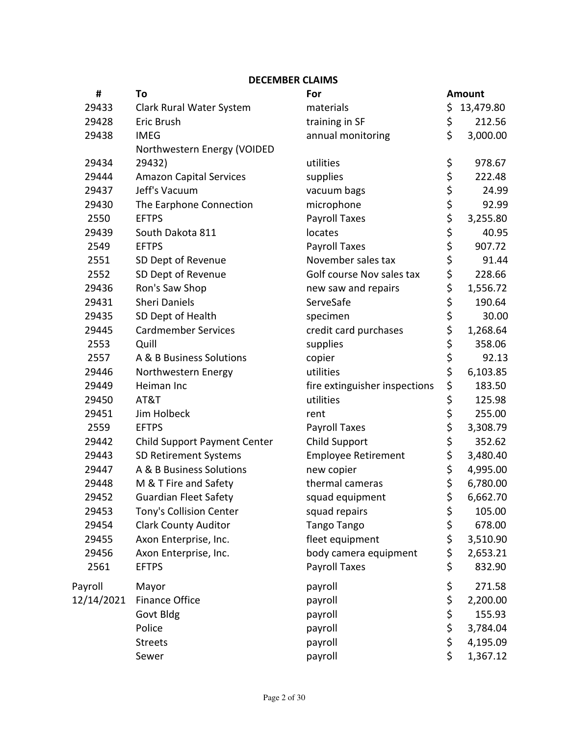#### DECEMBER CLAIMS

| #          | To                                  | For                           |             | <b>Amount</b> |
|------------|-------------------------------------|-------------------------------|-------------|---------------|
| 29433      | Clark Rural Water System            | materials                     | \$          | 13,479.80     |
| 29428      | Eric Brush                          | training in SF                | \$          | 212.56        |
| 29438      | <b>IMEG</b>                         | annual monitoring             | \$          | 3,000.00      |
|            | Northwestern Energy (VOIDED         |                               |             |               |
| 29434      | 29432)                              | utilities                     | \$          | 978.67        |
| 29444      | <b>Amazon Capital Services</b>      | supplies                      | \$          | 222.48        |
| 29437      | Jeff's Vacuum                       | vacuum bags                   | \$          | 24.99         |
| 29430      | The Earphone Connection             | microphone                    |             | 92.99         |
| 2550       | <b>EFTPS</b>                        | <b>Payroll Taxes</b>          | \$ \$ \$ \$ | 3,255.80      |
| 29439      | South Dakota 811                    | locates                       |             | 40.95         |
| 2549       | <b>EFTPS</b>                        | <b>Payroll Taxes</b>          |             | 907.72        |
| 2551       | SD Dept of Revenue                  | November sales tax            | \$          | 91.44         |
| 2552       | SD Dept of Revenue                  | Golf course Nov sales tax     | \$          | 228.66        |
| 29436      | Ron's Saw Shop                      | new saw and repairs           | \$          | 1,556.72      |
| 29431      | <b>Sheri Daniels</b>                | ServeSafe                     | \$          | 190.64        |
| 29435      | SD Dept of Health                   | specimen                      | \$          | 30.00         |
| 29445      | <b>Cardmember Services</b>          | credit card purchases         | \$          | 1,268.64      |
| 2553       | Quill                               | supplies                      | \$          | 358.06        |
| 2557       | A & B Business Solutions            | copier                        | \$          | 92.13         |
| 29446      | Northwestern Energy                 | utilities                     | \$          | 6,103.85      |
| 29449      | Heiman Inc                          | fire extinguisher inspections | \$          | 183.50        |
| 29450      | AT&T                                | utilities                     | \$          | 125.98        |
| 29451      | Jim Holbeck                         | rent                          | \$          | 255.00        |
| 2559       | <b>EFTPS</b>                        | <b>Payroll Taxes</b>          | \$          | 3,308.79      |
| 29442      | <b>Child Support Payment Center</b> | Child Support                 | \$          | 352.62        |
| 29443      | SD Retirement Systems               | <b>Employee Retirement</b>    | \$          | 3,480.40      |
| 29447      | A & B Business Solutions            | new copier                    | \$          | 4,995.00      |
| 29448      | M & T Fire and Safety               | thermal cameras               | \$          | 6,780.00      |
| 29452      | <b>Guardian Fleet Safety</b>        | squad equipment               | \$          | 6,662.70      |
| 29453      | Tony's Collision Center             | squad repairs                 | \$          | 105.00        |
| 29454      | <b>Clark County Auditor</b>         | Tango Tango                   | \$          | 678.00        |
| 29455      | Axon Enterprise, Inc.               | fleet equipment               | \$          | 3,510.90      |
| 29456      | Axon Enterprise, Inc.               | body camera equipment         | \$          | 2,653.21      |
| 2561       | <b>EFTPS</b>                        | <b>Payroll Taxes</b>          | \$          | 832.90        |
| Payroll    | Mayor                               | payroll                       | \$          | 271.58        |
| 12/14/2021 | <b>Finance Office</b>               | payroll                       | \$          | 2,200.00      |
|            | Govt Bldg                           | payroll                       | \$          | 155.93        |
|            | Police                              | payroll                       | \$          | 3,784.04      |
|            | <b>Streets</b>                      | payroll                       | \$          | 4,195.09      |
|            | Sewer                               | payroll                       | \$          | 1,367.12      |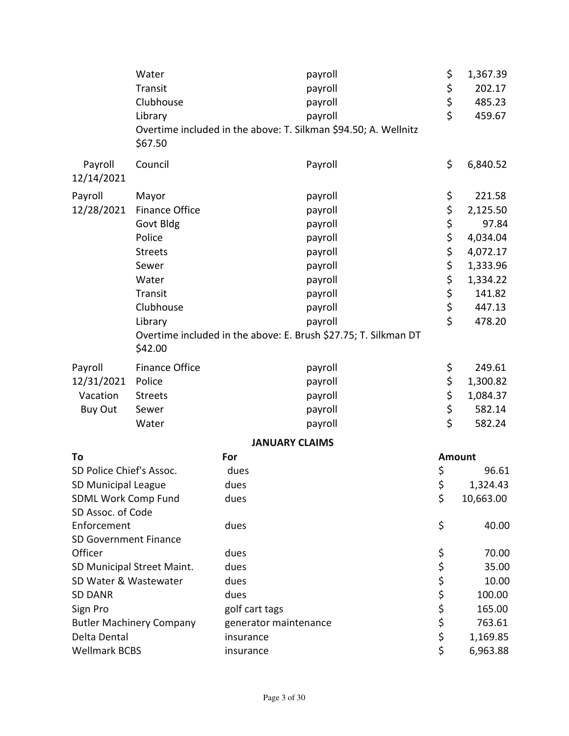|                              | Water                           | payroll                                                         | \$             | 1,367.39      |
|------------------------------|---------------------------------|-----------------------------------------------------------------|----------------|---------------|
|                              | Transit                         | payroll                                                         | \$             | 202.17        |
|                              | Clubhouse                       | payroll                                                         | \$             | 485.23        |
|                              | Library                         | payroll                                                         | \$             | 459.67        |
|                              | \$67.50                         | Overtime included in the above: T. Silkman \$94.50; A. Wellnitz |                |               |
| Payroll<br>12/14/2021        | Council                         | Payroll                                                         | \$             | 6,840.52      |
| Payroll                      | Mayor                           | payroll                                                         | \$             | 221.58        |
| 12/28/2021                   | <b>Finance Office</b>           | payroll                                                         | \$             | 2,125.50      |
|                              | Govt Bldg                       | payroll                                                         | \$             | 97.84         |
|                              | Police                          | payroll                                                         | \$             | 4,034.04      |
|                              | <b>Streets</b>                  | payroll                                                         | \$             | 4,072.17      |
|                              | Sewer                           | payroll                                                         | \$             | 1,333.96      |
|                              | Water                           | payroll                                                         | \$             | 1,334.22      |
|                              | Transit                         | payroll                                                         | \$             | 141.82        |
|                              | Clubhouse                       | payroll                                                         | \$             | 447.13        |
|                              | Library                         | payroll                                                         | \$             | 478.20        |
|                              | \$42.00                         | Overtime included in the above: E. Brush \$27.75; T. Silkman DT |                |               |
| Payroll                      | <b>Finance Office</b>           | payroll                                                         | \$             | 249.61        |
| 12/31/2021                   | Police                          | payroll                                                         |                | 1,300.82      |
| Vacation                     | <b>Streets</b>                  | payroll                                                         | \$<br>\$<br>\$ | 1,084.37      |
| <b>Buy Out</b>               | Sewer                           | payroll                                                         |                | 582.14        |
|                              | Water                           | payroll                                                         | \$             | 582.24        |
|                              |                                 | <b>JANUARY CLAIMS</b>                                           |                |               |
| To                           |                                 | For                                                             |                | <b>Amount</b> |
| SD Police Chief's Assoc.     |                                 | dues                                                            | \$             | 96.61         |
| SD Municipal League          |                                 | dues                                                            | Ş              | 1,324.43      |
| <b>SDML Work Comp Fund</b>   |                                 | dues                                                            | \$             | 10,663.00     |
| SD Assoc. of Code            |                                 |                                                                 |                |               |
| Enforcement                  |                                 | dues                                                            | \$             | 40.00         |
| <b>SD Government Finance</b> |                                 |                                                                 |                |               |
| Officer                      |                                 | dues                                                            | \$             | 70.00         |
|                              | SD Municipal Street Maint.      | dues                                                            | \$             | 35.00         |
| SD Water & Wastewater        |                                 | dues                                                            | \$             | 10.00         |
| <b>SD DANR</b>               |                                 | dues                                                            | \$             | 100.00        |
| Sign Pro                     |                                 | golf cart tags                                                  | \$             | 165.00        |
|                              | <b>Butler Machinery Company</b> | generator maintenance                                           | \$             | 763.61        |
| Delta Dental                 |                                 | insurance                                                       | \$             | 1,169.85      |
| <b>Wellmark BCBS</b>         |                                 | insurance                                                       | \$             | 6,963.88      |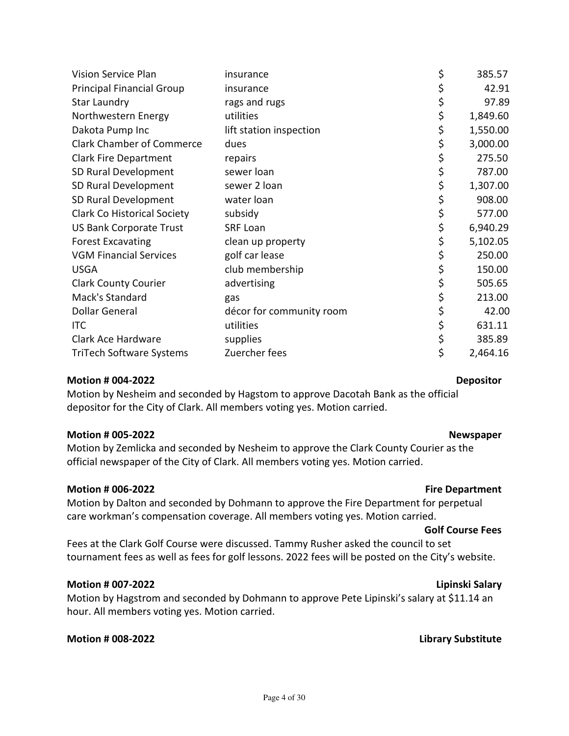| Northwestern Energy                                                               | utilities                                                                | \$ | 1,849.60 |  |
|-----------------------------------------------------------------------------------|--------------------------------------------------------------------------|----|----------|--|
| Dakota Pump Inc                                                                   | lift station inspection                                                  | \$ | 1,550.00 |  |
| <b>Clark Chamber of Commerce</b>                                                  | dues                                                                     | \$ | 3,000.00 |  |
| <b>Clark Fire Department</b>                                                      | repairs                                                                  | \$ | 275.50   |  |
| SD Rural Development                                                              | sewer loan                                                               | \$ | 787.00   |  |
| SD Rural Development                                                              | sewer 2 loan                                                             | \$ | 1,307.00 |  |
| SD Rural Development                                                              | water loan                                                               | \$ | 908.00   |  |
| <b>Clark Co Historical Society</b>                                                | subsidy                                                                  | \$ | 577.00   |  |
| <b>US Bank Corporate Trust</b>                                                    | <b>SRF Loan</b>                                                          | \$ | 6,940.29 |  |
| <b>Forest Excavating</b>                                                          | clean up property                                                        | \$ | 5,102.05 |  |
| <b>VGM Financial Services</b>                                                     | golf car lease                                                           | \$ | 250.00   |  |
| <b>USGA</b>                                                                       | club membership                                                          | \$ | 150.00   |  |
| <b>Clark County Courier</b>                                                       | advertising                                                              | \$ | 505.65   |  |
| Mack's Standard                                                                   | gas                                                                      | \$ | 213.00   |  |
| <b>Dollar General</b>                                                             | décor for community room                                                 | \$ | 42.00    |  |
| <b>ITC</b>                                                                        | utilities                                                                | \$ | 631.11   |  |
| Clark Ace Hardware                                                                | supplies                                                                 | \$ | 385.89   |  |
| <b>TriTech Software Systems</b>                                                   | Zuercher fees                                                            | \$ | 2,464.16 |  |
| <b>Motion # 004-2022</b><br><b>Depositor</b>                                      |                                                                          |    |          |  |
| Motion by Nesheim and seconded by Hagstom to approve Dacotah Bank as the official |                                                                          |    |          |  |
|                                                                                   | depositor for the City of Clark. All members voting yes. Motion carried. |    |          |  |
|                                                                                   |                                                                          |    |          |  |

Vision Service Plan **insurance insurance**  $\frac{1}{2}$  385.57 Principal Financial Group insurance  $\angle$  \$ 42.91 Star Laundry **Star Laundry Reserves has a starting to range and rugs and rugs and rugs and reserve that the starting of the starting of the starting of the starting of the starting of the starting of the starting of th** 

#### Motion # 005-2022 Newspaper

Motion by Zemlicka and seconded by Nesheim to approve the Clark County Courier as the official newspaper of the City of Clark. All members voting yes. Motion carried.

#### Motion # 006-2022 **Fire Department**

Motion by Dalton and seconded by Dohmann to approve the Fire Department for perpetual care workman's compensation coverage. All members voting yes. Motion carried.

#### Golf Course Fees

Fees at the Clark Golf Course were discussed. Tammy Rusher asked the council to set tournament fees as well as fees for golf lessons. 2022 fees will be posted on the City's website.

#### Motion # 007-2022 Lipinski Salary

Motion by Hagstrom and seconded by Dohmann to approve Pete Lipinski's salary at \$11.14 an hour. All members voting yes. Motion carried.

#### Motion # 008-2022 **Library Substitute**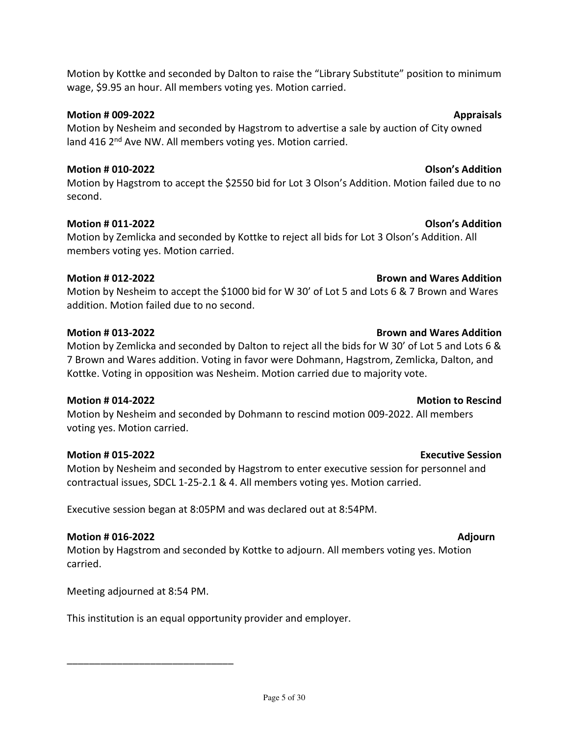Motion by Kottke and seconded by Dalton to raise the "Library Substitute" position to minimum wage, \$9.95 an hour. All members voting yes. Motion carried.

# Motion # 009-2022 **Appraisals**

Motion by Nesheim and seconded by Hagstrom to advertise a sale by auction of City owned land 416 2<sup>nd</sup> Ave NW. All members voting yes. Motion carried.

# Motion # 010-2022 Olson's Addition

Motion by Hagstrom to accept the \$2550 bid for Lot 3 Olson's Addition. Motion failed due to no second.

# Motion # 011-2022 Olson's Addition

Motion by Zemlicka and seconded by Kottke to reject all bids for Lot 3 Olson's Addition. All members voting yes. Motion carried.

# Motion # 012-2022 Brown and Wares Addition

Motion by Nesheim to accept the \$1000 bid for W 30' of Lot 5 and Lots 6 & 7 Brown and Wares addition. Motion failed due to no second.

# Motion # 013-2022 Brown and Wares Addition

Motion by Zemlicka and seconded by Dalton to reject all the bids for W 30' of Lot 5 and Lots 6 & 7 Brown and Wares addition. Voting in favor were Dohmann, Hagstrom, Zemlicka, Dalton, and Kottke. Voting in opposition was Nesheim. Motion carried due to majority vote.

Motion by Nesheim and seconded by Dohmann to rescind motion 009-2022. All members voting yes. Motion carried.

# Motion # 015-2022 Executive Session

Motion by Nesheim and seconded by Hagstrom to enter executive session for personnel and contractual issues, SDCL 1-25-2.1 & 4. All members voting yes. Motion carried.

Executive session began at 8:05PM and was declared out at 8:54PM.

# Motion # 016-2022 Adjourn

Motion by Hagstrom and seconded by Kottke to adjourn. All members voting yes. Motion carried.

Meeting adjourned at 8:54 PM.

\_\_\_\_\_\_\_\_\_\_\_\_\_\_\_\_\_\_\_\_\_\_\_\_\_\_\_\_\_\_

This institution is an equal opportunity provider and employer.

# Motion # 014-2022 Motion to Rescind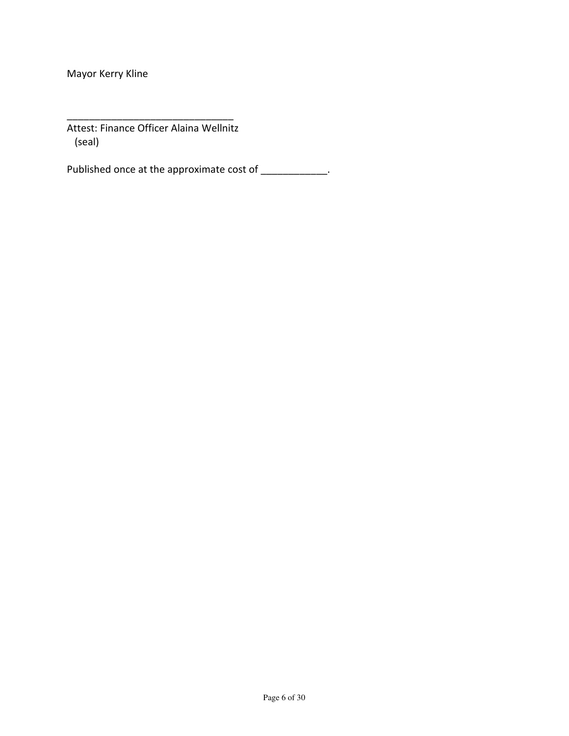Mayor Kerry Kline

Attest: Finance Officer Alaina Wellnitz (seal)

\_\_\_\_\_\_\_\_\_\_\_\_\_\_\_\_\_\_\_\_\_\_\_\_\_\_\_\_\_\_

Published once at the approximate cost of \_\_\_\_\_\_\_\_\_\_\_\_\_.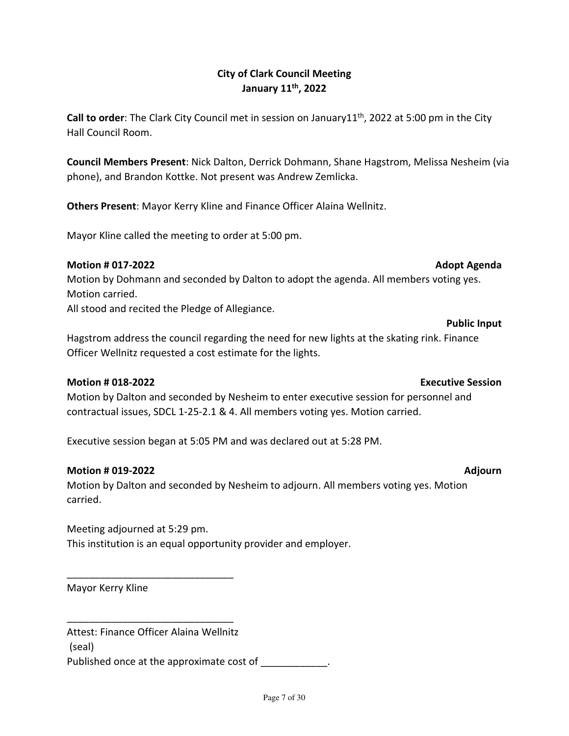City of Clark Council Meeting January 11th, 2022

Call to order: The Clark City Council met in session on January11<sup>th</sup>, 2022 at 5:00 pm in the City Hall Council Room.

Council Members Present: Nick Dalton, Derrick Dohmann, Shane Hagstrom, Melissa Nesheim (via phone), and Brandon Kottke. Not present was Andrew Zemlicka.

Others Present: Mayor Kerry Kline and Finance Officer Alaina Wellnitz.

Mayor Kline called the meeting to order at 5:00 pm.

#### Motion # 017-2022 **Adopt Agenda** Adopt Agenda Adopt Agenda

Motion by Dohmann and seconded by Dalton to adopt the agenda. All members voting yes. Motion carried.

All stood and recited the Pledge of Allegiance.

# Hagstrom address the council regarding the need for new lights at the skating rink. Finance Officer Wellnitz requested a cost estimate for the lights.

### Motion # 018-2022 Executive Session

Motion by Dalton and seconded by Nesheim to enter executive session for personnel and contractual issues, SDCL 1-25-2.1 & 4. All members voting yes. Motion carried.

Executive session began at 5:05 PM and was declared out at 5:28 PM.

#### Motion # 019-2022 Adjourn

Motion by Dalton and seconded by Nesheim to adjourn. All members voting yes. Motion carried.

Meeting adjourned at 5:29 pm. This institution is an equal opportunity provider and employer.

Mayor Kerry Kline

\_\_\_\_\_\_\_\_\_\_\_\_\_\_\_\_\_\_\_\_\_\_\_\_\_\_\_\_\_\_

\_\_\_\_\_\_\_\_\_\_\_\_\_\_\_\_\_\_\_\_\_\_\_\_\_\_\_\_\_\_

Attest: Finance Officer Alaina Wellnitz (seal) Published once at the approximate cost of  $\Box$ 

#### Page 7 of 30

# Public Input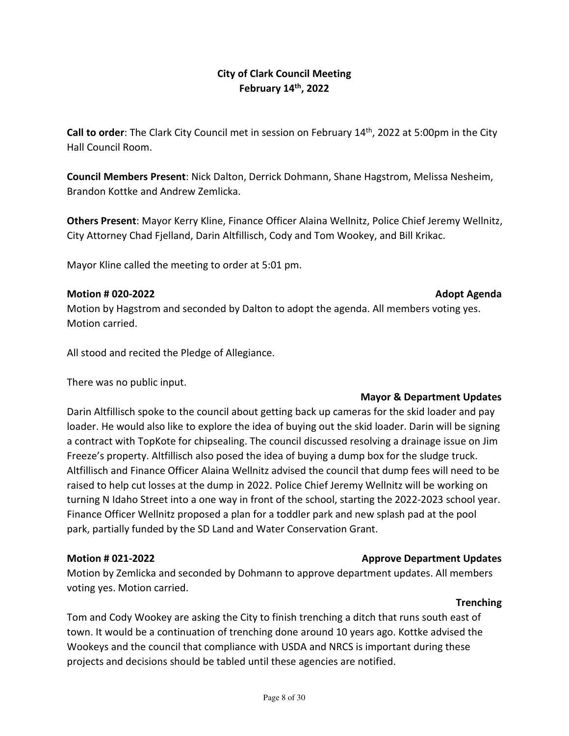### City of Clark Council Meeting February 14th, 2022

Call to order: The Clark City Council met in session on February 14<sup>th</sup>, 2022 at 5:00pm in the City Hall Council Room.

Council Members Present: Nick Dalton, Derrick Dohmann, Shane Hagstrom, Melissa Nesheim, Brandon Kottke and Andrew Zemlicka.

Others Present: Mayor Kerry Kline, Finance Officer Alaina Wellnitz, Police Chief Jeremy Wellnitz, City Attorney Chad Fjelland, Darin Altfillisch, Cody and Tom Wookey, and Bill Krikac.

Mayor Kline called the meeting to order at 5:01 pm.

#### Motion # 020-2022 **Adopt Agenda** Adopt Agenda Adopt Agenda

Motion by Hagstrom and seconded by Dalton to adopt the agenda. All members voting yes. Motion carried.

All stood and recited the Pledge of Allegiance.

There was no public input.

### Mayor & Department Updates

Darin Altfillisch spoke to the council about getting back up cameras for the skid loader and pay loader. He would also like to explore the idea of buying out the skid loader. Darin will be signing a contract with TopKote for chipsealing. The council discussed resolving a drainage issue on Jim Freeze's property. Altfillisch also posed the idea of buying a dump box for the sludge truck. Altfillisch and Finance Officer Alaina Wellnitz advised the council that dump fees will need to be raised to help cut losses at the dump in 2022. Police Chief Jeremy Wellnitz will be working on turning N Idaho Street into a one way in front of the school, starting the 2022-2023 school year. Finance Officer Wellnitz proposed a plan for a toddler park and new splash pad at the pool park, partially funded by the SD Land and Water Conservation Grant.

#### Motion # 021-2022 Approve Department Updates

Motion by Zemlicka and seconded by Dohmann to approve department updates. All members voting yes. Motion carried.

#### **Trenching**

Tom and Cody Wookey are asking the City to finish trenching a ditch that runs south east of town. It would be a continuation of trenching done around 10 years ago. Kottke advised the Wookeys and the council that compliance with USDA and NRCS is important during these projects and decisions should be tabled until these agencies are notified.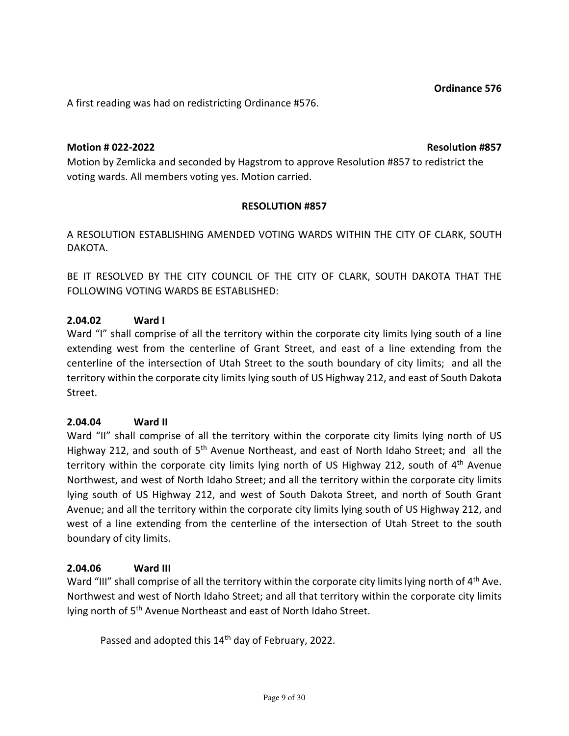A first reading was had on redistricting Ordinance #576.

### Motion # 022-2022 Resolution #857

Motion by Zemlicka and seconded by Hagstrom to approve Resolution #857 to redistrict the voting wards. All members voting yes. Motion carried.

### RESOLUTION #857

A RESOLUTION ESTABLISHING AMENDED VOTING WARDS WITHIN THE CITY OF CLARK, SOUTH DAKOTA.

BE IT RESOLVED BY THE CITY COUNCIL OF THE CITY OF CLARK, SOUTH DAKOTA THAT THE FOLLOWING VOTING WARDS BE ESTABLISHED:

### 2.04.02 Ward I

Ward "I" shall comprise of all the territory within the corporate city limits lying south of a line extending west from the centerline of Grant Street, and east of a line extending from the centerline of the intersection of Utah Street to the south boundary of city limits; and all the territory within the corporate city limits lying south of US Highway 212, and east of South Dakota Street.

### 2.04.04 Ward II

Ward "II" shall comprise of all the territory within the corporate city limits lying north of US Highway 212, and south of 5<sup>th</sup> Avenue Northeast, and east of North Idaho Street; and all the territory within the corporate city limits lying north of US Highway 212, south of  $4<sup>th</sup>$  Avenue Northwest, and west of North Idaho Street; and all the territory within the corporate city limits lying south of US Highway 212, and west of South Dakota Street, and north of South Grant Avenue; and all the territory within the corporate city limits lying south of US Highway 212, and west of a line extending from the centerline of the intersection of Utah Street to the south boundary of city limits.

### 2.04.06 Ward III

Ward "III" shall comprise of all the territory within the corporate city limits lying north of 4<sup>th</sup> Ave. Northwest and west of North Idaho Street; and all that territory within the corporate city limits lying north of 5<sup>th</sup> Avenue Northeast and east of North Idaho Street.

Passed and adopted this 14<sup>th</sup> day of February, 2022.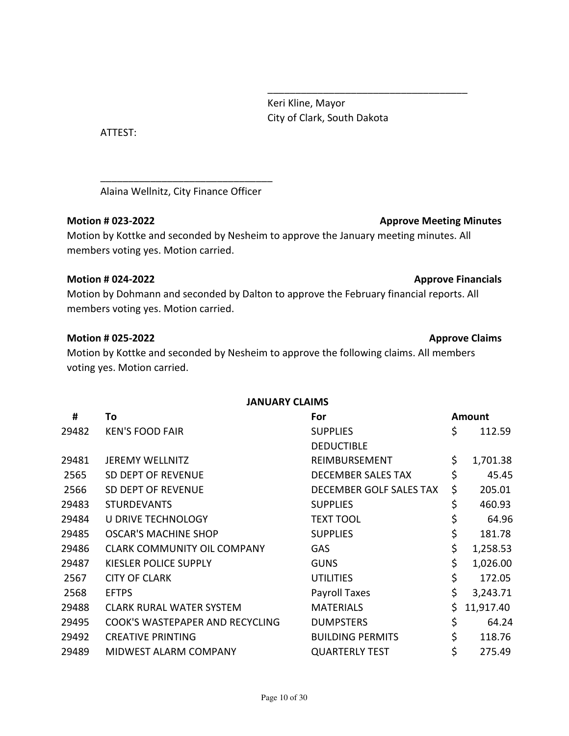Keri Kline, Mayor City of Clark, South Dakota

ATTEST:

Alaina Wellnitz, City Finance Officer

\_\_\_\_\_\_\_\_\_\_\_\_\_\_\_\_\_\_\_\_\_\_\_\_\_\_\_\_\_\_\_

### Motion # 023-2022 Motion # 023-2022

Motion by Kottke and seconded by Nesheim to approve the January meeting minutes. All members voting yes. Motion carried.

 $\overline{\phantom{a}}$  , and the contract of the contract of the contract of the contract of the contract of the contract of the contract of the contract of the contract of the contract of the contract of the contract of the contrac

### Motion # 024-2022 **Approve Financials**

Motion by Dohmann and seconded by Dalton to approve the February financial reports. All members voting yes. Motion carried.

### Motion # 025-2022 Approve Claims

Motion by Kottke and seconded by Nesheim to approve the following claims. All members voting yes. Motion carried.

### JANUARY CLAIMS

| #     | To                                 | For                       | <b>Amount</b>   |
|-------|------------------------------------|---------------------------|-----------------|
| 29482 | <b>KEN'S FOOD FAIR</b>             | <b>SUPPLIES</b>           | \$<br>112.59    |
|       |                                    | <b>DEDUCTIBLE</b>         |                 |
| 29481 | <b>JEREMY WELLNITZ</b>             | REIMBURSEMENT             | \$<br>1,701.38  |
| 2565  | SD DEPT OF REVENUE                 | <b>DECEMBER SALES TAX</b> | \$<br>45.45     |
| 2566  | SD DEPT OF REVENUE                 | DECEMBER GOLF SALES TAX   | \$<br>205.01    |
| 29483 | <b>STURDEVANTS</b>                 | <b>SUPPLIES</b>           | \$<br>460.93    |
| 29484 | <b>U DRIVE TECHNOLOGY</b>          | <b>TEXT TOOL</b>          | \$<br>64.96     |
| 29485 | OSCAR'S MACHINE SHOP               | <b>SUPPLIES</b>           | \$<br>181.78    |
| 29486 | <b>CLARK COMMUNITY OIL COMPANY</b> | GAS                       | \$<br>1,258.53  |
| 29487 | <b>KIESLER POLICE SUPPLY</b>       | <b>GUNS</b>               | \$<br>1,026.00  |
| 2567  | <b>CITY OF CLARK</b>               | <b>UTILITIES</b>          | \$<br>172.05    |
| 2568  | <b>EFTPS</b>                       | Payroll Taxes             | \$<br>3,243.71  |
| 29488 | <b>CLARK RURAL WATER SYSTEM</b>    | <b>MATERIALS</b>          | \$<br>11,917.40 |
| 29495 | COOK'S WASTEPAPER AND RECYCLING    | <b>DUMPSTERS</b>          | \$<br>64.24     |
| 29492 | <b>CREATIVE PRINTING</b>           | <b>BUILDING PERMITS</b>   | \$<br>118.76    |
| 29489 | MIDWEST ALARM COMPANY              | <b>QUARTERLY TEST</b>     | \$<br>275.49    |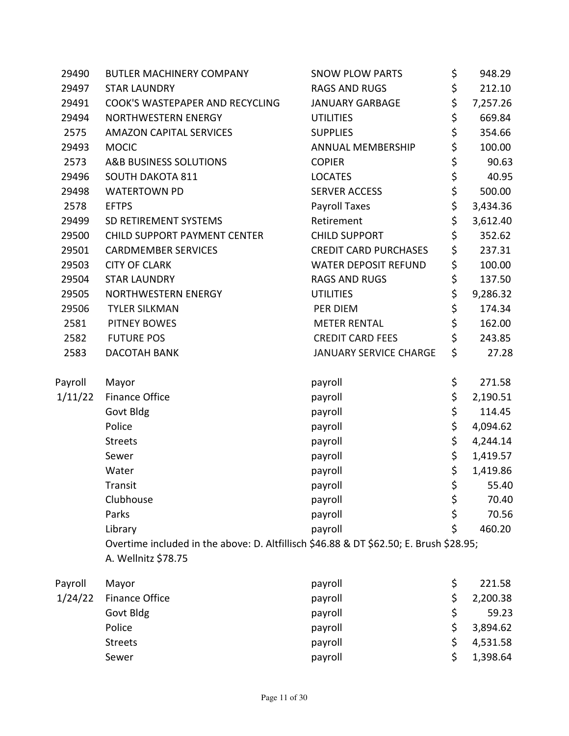| 29490   | <b>BUTLER MACHINERY COMPANY</b>                                                        | <b>SNOW PLOW PARTS</b>        | \$<br>948.29   |
|---------|----------------------------------------------------------------------------------------|-------------------------------|----------------|
| 29497   | <b>STAR LAUNDRY</b>                                                                    | <b>RAGS AND RUGS</b>          | \$<br>212.10   |
| 29491   | COOK'S WASTEPAPER AND RECYCLING                                                        | <b>JANUARY GARBAGE</b>        | \$<br>7,257.26 |
| 29494   | NORTHWESTERN ENERGY                                                                    | <b>UTILITIES</b>              | \$<br>669.84   |
| 2575    | <b>AMAZON CAPITAL SERVICES</b>                                                         | <b>SUPPLIES</b>               | \$<br>354.66   |
| 29493   | <b>MOCIC</b>                                                                           | ANNUAL MEMBERSHIP             | \$<br>100.00   |
| 2573    | A&B BUSINESS SOLUTIONS                                                                 | <b>COPIER</b>                 | \$<br>90.63    |
| 29496   | <b>SOUTH DAKOTA 811</b>                                                                | <b>LOCATES</b>                | \$<br>40.95    |
| 29498   | <b>WATERTOWN PD</b>                                                                    | <b>SERVER ACCESS</b>          | \$<br>500.00   |
| 2578    | <b>EFTPS</b>                                                                           | Payroll Taxes                 | \$<br>3,434.36 |
| 29499   | SD RETIREMENT SYSTEMS                                                                  | Retirement                    | \$<br>3,612.40 |
| 29500   | <b>CHILD SUPPORT PAYMENT CENTER</b>                                                    | <b>CHILD SUPPORT</b>          | \$<br>352.62   |
| 29501   | <b>CARDMEMBER SERVICES</b>                                                             | <b>CREDIT CARD PURCHASES</b>  | \$<br>237.31   |
| 29503   | <b>CITY OF CLARK</b>                                                                   | <b>WATER DEPOSIT REFUND</b>   | \$<br>100.00   |
| 29504   | <b>STAR LAUNDRY</b>                                                                    | <b>RAGS AND RUGS</b>          | \$<br>137.50   |
| 29505   | NORTHWESTERN ENERGY                                                                    | <b>UTILITIES</b>              | \$<br>9,286.32 |
| 29506   | <b>TYLER SILKMAN</b>                                                                   | PER DIEM                      | \$<br>174.34   |
| 2581    | <b>PITNEY BOWES</b>                                                                    | <b>METER RENTAL</b>           | \$<br>162.00   |
| 2582    | <b>FUTURE POS</b>                                                                      | <b>CREDIT CARD FEES</b>       | \$<br>243.85   |
| 2583    | DACOTAH BANK                                                                           | <b>JANUARY SERVICE CHARGE</b> | \$<br>27.28    |
| Payroll | Mayor                                                                                  | payroll                       | \$<br>271.58   |
| 1/11/22 | Finance Office                                                                         | payroll                       | \$<br>2,190.51 |
|         | Govt Bldg                                                                              | payroll                       | \$<br>114.45   |
|         | Police                                                                                 | payroll                       | \$<br>4,094.62 |
|         | <b>Streets</b>                                                                         | payroll                       | \$<br>4,244.14 |
|         | Sewer                                                                                  | payroll                       | \$<br>1,419.57 |
|         | Water                                                                                  | payroll                       | \$<br>1,419.86 |
|         | Transit                                                                                | payroll                       | \$<br>55.40    |
|         | Clubhouse                                                                              | payroll                       | \$<br>70.40    |
|         | Parks                                                                                  | payroll                       | \$<br>70.56    |
|         | Library                                                                                | payroll                       | \$<br>460.20   |
|         | Overtime included in the above: D. Altfillisch \$46.88 & DT \$62.50; E. Brush \$28.95; |                               |                |
|         | A. Wellnitz \$78.75                                                                    |                               |                |
| Payroll | Mayor                                                                                  | payroll                       | \$<br>221.58   |
| 1/24/22 | <b>Finance Office</b>                                                                  | payroll                       | \$<br>2,200.38 |
|         | Govt Bldg                                                                              | payroll                       | \$<br>59.23    |
|         | Police                                                                                 | payroll                       | \$<br>3,894.62 |
|         | <b>Streets</b>                                                                         | payroll                       | \$<br>4,531.58 |
|         | Sewer                                                                                  | payroll                       | \$<br>1,398.64 |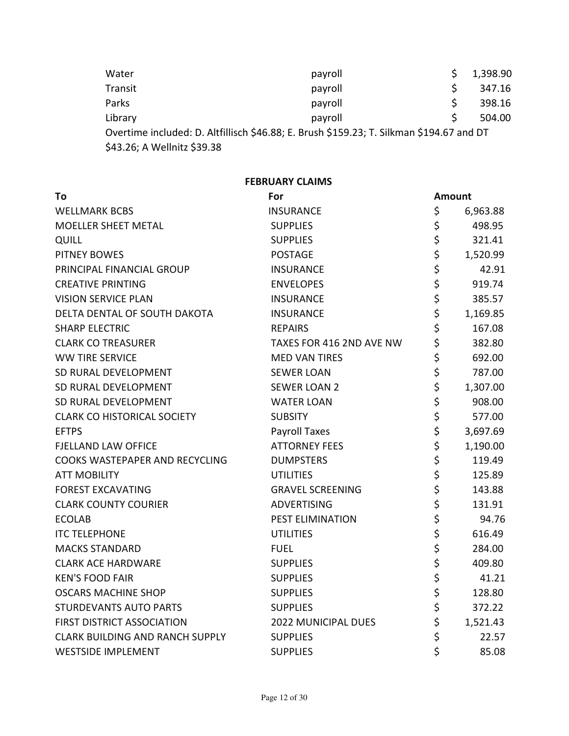| Water                                                                                                                   | payroll |   | 1,398.90 |  |  |
|-------------------------------------------------------------------------------------------------------------------------|---------|---|----------|--|--|
| Transit                                                                                                                 | payroll | S | 347.16   |  |  |
| Parks                                                                                                                   | payroll | S | 398.16   |  |  |
| Library                                                                                                                 | payroll |   | 504.00   |  |  |
| Overtime included: D. Altfillisch \$46.88; E. Brush \$159.23; T. Silkman \$194.67 and DT<br>\$43.26; A Wellnitz \$39.38 |         |   |          |  |  |

FEBRUARY CLAIMS

| To                                     | For                        | <b>Amount</b>  |
|----------------------------------------|----------------------------|----------------|
| <b>WELLMARK BCBS</b>                   | <b>INSURANCE</b>           | \$<br>6,963.88 |
| <b>MOELLER SHEET METAL</b>             | <b>SUPPLIES</b>            | \$<br>498.95   |
| QUILL                                  | <b>SUPPLIES</b>            | \$<br>321.41   |
| <b>PITNEY BOWES</b>                    | <b>POSTAGE</b>             | \$<br>1,520.99 |
| PRINCIPAL FINANCIAL GROUP              | <b>INSURANCE</b>           | \$<br>42.91    |
| <b>CREATIVE PRINTING</b>               | <b>ENVELOPES</b>           | \$<br>919.74   |
| <b>VISION SERVICE PLAN</b>             | <b>INSURANCE</b>           | \$<br>385.57   |
| DELTA DENTAL OF SOUTH DAKOTA           | <b>INSURANCE</b>           | \$<br>1,169.85 |
| <b>SHARP ELECTRIC</b>                  | <b>REPAIRS</b>             | \$<br>167.08   |
| <b>CLARK CO TREASURER</b>              | TAXES FOR 416 2ND AVE NW   | \$<br>382.80   |
| <b>WW TIRE SERVICE</b>                 | <b>MED VAN TIRES</b>       | \$<br>692.00   |
| SD RURAL DEVELOPMENT                   | <b>SEWER LOAN</b>          | \$<br>787.00   |
| SD RURAL DEVELOPMENT                   | <b>SEWER LOAN 2</b>        | \$<br>1,307.00 |
| SD RURAL DEVELOPMENT                   | <b>WATER LOAN</b>          | \$<br>908.00   |
| <b>CLARK CO HISTORICAL SOCIETY</b>     | <b>SUBSITY</b>             | \$<br>577.00   |
| <b>EFTPS</b>                           | <b>Payroll Taxes</b>       | \$<br>3,697.69 |
| <b>FJELLAND LAW OFFICE</b>             | <b>ATTORNEY FEES</b>       | \$<br>1,190.00 |
| COOKS WASTEPAPER AND RECYCLING         | <b>DUMPSTERS</b>           | \$<br>119.49   |
| <b>ATT MOBILITY</b>                    | <b>UTILITIES</b>           | \$<br>125.89   |
| <b>FOREST EXCAVATING</b>               | <b>GRAVEL SCREENING</b>    | \$<br>143.88   |
| <b>CLARK COUNTY COURIER</b>            | <b>ADVERTISING</b>         | \$<br>131.91   |
| <b>ECOLAB</b>                          | PEST ELIMINATION           | \$<br>94.76    |
| <b>ITC TELEPHONE</b>                   | <b>UTILITIES</b>           | \$<br>616.49   |
| <b>MACKS STANDARD</b>                  | <b>FUEL</b>                | \$<br>284.00   |
| <b>CLARK ACE HARDWARE</b>              | <b>SUPPLIES</b>            | \$<br>409.80   |
| <b>KEN'S FOOD FAIR</b>                 | <b>SUPPLIES</b>            | \$<br>41.21    |
| <b>OSCARS MACHINE SHOP</b>             | <b>SUPPLIES</b>            | \$<br>128.80   |
| <b>STURDEVANTS AUTO PARTS</b>          | <b>SUPPLIES</b>            | \$<br>372.22   |
| <b>FIRST DISTRICT ASSOCIATION</b>      | <b>2022 MUNICIPAL DUES</b> | \$<br>1,521.43 |
| <b>CLARK BUILDING AND RANCH SUPPLY</b> | <b>SUPPLIES</b>            | \$<br>22.57    |
| <b>WESTSIDE IMPLEMENT</b>              | <b>SUPPLIES</b>            | \$<br>85.08    |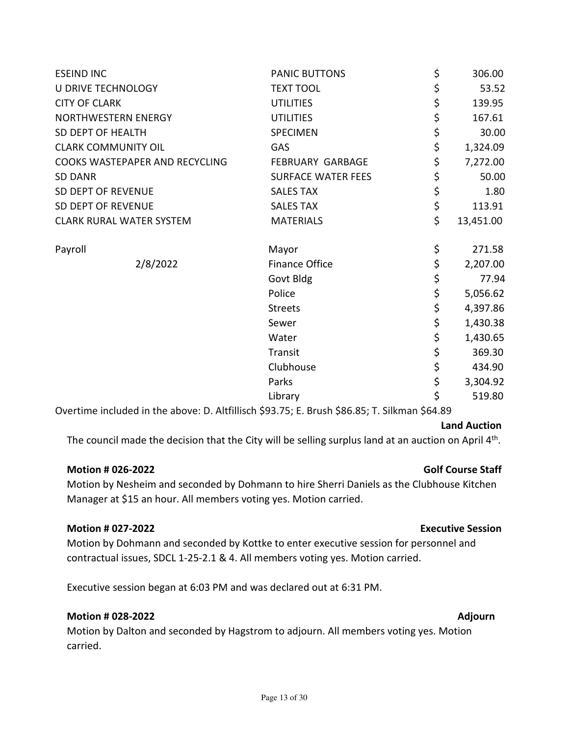| <b>PANIC BUTTONS</b>      | \$<br>306.00    |
|---------------------------|-----------------|
| <b>TEXT TOOL</b>          | \$<br>53.52     |
| <b>UTILITIES</b>          | \$<br>139.95    |
| <b>UTILITIES</b>          | \$<br>167.61    |
| SPECIMEN                  | \$<br>30.00     |
| GAS                       | \$<br>1,324.09  |
| <b>FEBRUARY GARBAGE</b>   | \$<br>7,272.00  |
| <b>SURFACE WATER FEES</b> | \$<br>50.00     |
| <b>SALES TAX</b>          | \$<br>1.80      |
| <b>SALES TAX</b>          | \$<br>113.91    |
| <b>MATERIALS</b>          | \$<br>13,451.00 |
| Mayor                     | \$<br>271.58    |
| Finance Office            | \$<br>2,207.00  |
| Govt Bldg                 | \$<br>77.94     |
| Police                    | \$<br>5,056.62  |
| <b>Streets</b>            | \$<br>4,397.86  |
| Sewer                     | \$<br>1,430.38  |
| Water                     | \$<br>1,430.65  |
| Transit                   | \$<br>369.30    |
| Clubhouse                 | \$<br>434.90    |
| Parks                     | \$<br>3,304.92  |
| Library                   | \$<br>519.80    |
|                           |                 |

Overtime included in the above: D. Altfillisch \$93.75; E. Brush \$86.85; T. Silkman \$64.89

#### Land Auction

The council made the decision that the City will be selling surplus land at an auction on April  $4<sup>th</sup>$ .

#### Motion # 026-2022 **Golf Course Staff**

Motion by Nesheim and seconded by Dohmann to hire Sherri Daniels as the Clubhouse Kitchen Manager at \$15 an hour. All members voting yes. Motion carried.

#### Motion # 027-2022 Executive Session

Motion by Dohmann and seconded by Kottke to enter executive session for personnel and contractual issues, SDCL 1-25-2.1 & 4. All members voting yes. Motion carried.

Executive session began at 6:03 PM and was declared out at 6:31 PM.

#### Motion # 028-2022 Adjourn

Motion by Dalton and seconded by Hagstrom to adjourn. All members voting yes. Motion carried.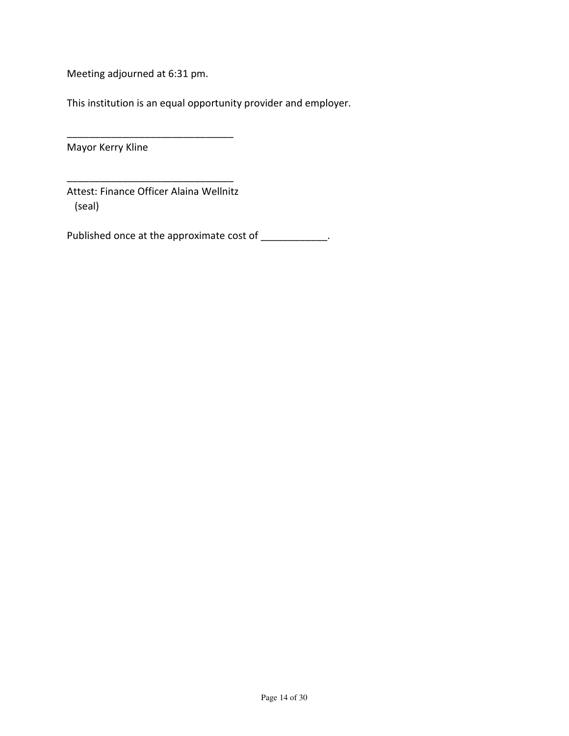Meeting adjourned at 6:31 pm.

This institution is an equal opportunity provider and employer.

Mayor Kerry Kline

Attest: Finance Officer Alaina Wellnitz (seal)

\_\_\_\_\_\_\_\_\_\_\_\_\_\_\_\_\_\_\_\_\_\_\_\_\_\_\_\_\_\_

\_\_\_\_\_\_\_\_\_\_\_\_\_\_\_\_\_\_\_\_\_\_\_\_\_\_\_\_\_\_

Published once at the approximate cost of \_\_\_\_\_\_\_\_\_\_\_\_.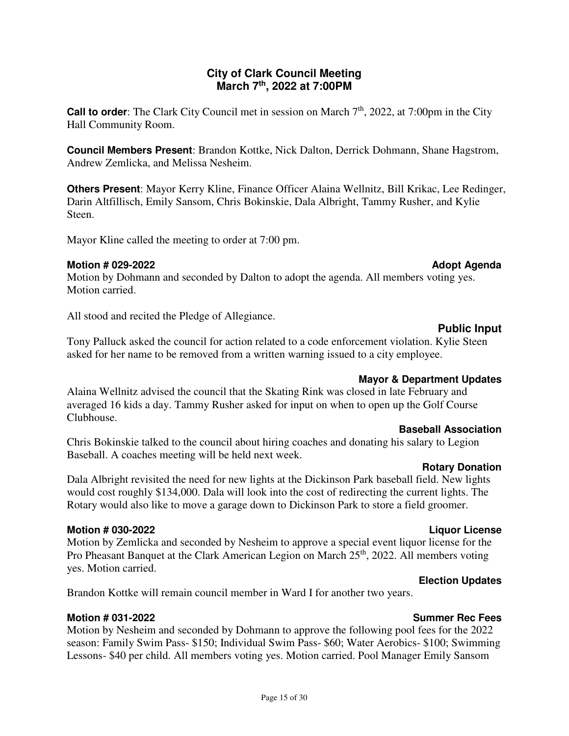### **City of Clark Council Meeting March 7th, 2022 at 7:00PM**

**Call to order**: The Clark City Council met in session on March 7<sup>th</sup>, 2022, at 7:00pm in the City Hall Community Room.

**Council Members Present**: Brandon Kottke, Nick Dalton, Derrick Dohmann, Shane Hagstrom, Andrew Zemlicka, and Melissa Nesheim.

**Others Present**: Mayor Kerry Kline, Finance Officer Alaina Wellnitz, Bill Krikac, Lee Redinger, Darin Altfillisch, Emily Sansom, Chris Bokinskie, Dala Albright, Tammy Rusher, and Kylie Steen.

Mayor Kline called the meeting to order at 7:00 pm.

#### **Motion # 029-2022 Adopt Agenda 10 Adopt Agenda 10 Adopt Agenda 10 Adopt Agenda 10 Adopt Agenda 10 Adopt Agenda**

Motion by Dohmann and seconded by Dalton to adopt the agenda. All members voting yes. Motion carried.

All stood and recited the Pledge of Allegiance.

### Tony Palluck asked the council for action related to a code enforcement violation. Kylie Steen asked for her name to be removed from a written warning issued to a city employee.

### **Mayor & Department Updates**

Alaina Wellnitz advised the council that the Skating Rink was closed in late February and averaged 16 kids a day. Tammy Rusher asked for input on when to open up the Golf Course Clubhouse.

#### **Baseball Association**

Chris Bokinskie talked to the council about hiring coaches and donating his salary to Legion Baseball. A coaches meeting will be held next week.

#### **Rotary Donation**

Dala Albright revisited the need for new lights at the Dickinson Park baseball field. New lights would cost roughly \$134,000. Dala will look into the cost of redirecting the current lights. The Rotary would also like to move a garage down to Dickinson Park to store a field groomer.

#### **Motion # 030-2022 Liquor License**

Motion by Zemlicka and seconded by Nesheim to approve a special event liquor license for the Pro Pheasant Banquet at the Clark American Legion on March 25<sup>th</sup>, 2022. All members voting yes. Motion carried.

### **Election Updates**

Brandon Kottke will remain council member in Ward I for another two years.

### **Motion # 031-2022 Summer Rec Fees**

Motion by Nesheim and seconded by Dohmann to approve the following pool fees for the 2022 season: Family Swim Pass- \$150; Individual Swim Pass- \$60; Water Aerobics- \$100; Swimming Lessons- \$40 per child. All members voting yes. Motion carried. Pool Manager Emily Sansom

# **Public Input**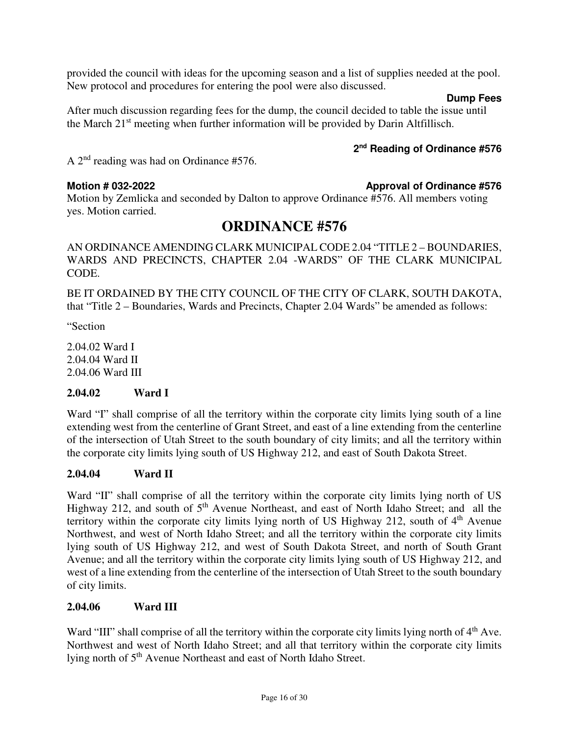provided the council with ideas for the upcoming season and a list of supplies needed at the pool. New protocol and procedures for entering the pool were also discussed.

#### **Dump Fees**

After much discussion regarding fees for the dump, the council decided to table the issue until the March 21st meeting when further information will be provided by Darin Altfillisch.

#### **2 nd Reading of Ordinance #576**

A 2nd reading was had on Ordinance #576.

**Motion # 032-2022** Approval of Ordinance #576 Motion by Zemlicka and seconded by Dalton to approve Ordinance #576. All members voting yes. Motion carried.

# **ORDINANCE #576**

AN ORDINANCE AMENDING CLARK MUNICIPAL CODE 2.04 "TITLE 2 – BOUNDARIES, WARDS AND PRECINCTS, CHAPTER 2.04 -WARDS" OF THE CLARK MUNICIPAL CODE.

BE IT ORDAINED BY THE CITY COUNCIL OF THE CITY OF CLARK, SOUTH DAKOTA, that "Title 2 – Boundaries, Wards and Precincts, Chapter 2.04 Wards" be amended as follows:

"Section

2.04.02 Ward I 2.04.04 Ward II 2.04.06 Ward III

#### **2.04.02 Ward I**

Ward "I" shall comprise of all the territory within the corporate city limits lying south of a line extending west from the centerline of Grant Street, and east of a line extending from the centerline of the intersection of Utah Street to the south boundary of city limits; and all the territory within the corporate city limits lying south of US Highway 212, and east of South Dakota Street.

#### **2.04.04 Ward II**

Ward "II" shall comprise of all the territory within the corporate city limits lying north of US Highway 212, and south of 5<sup>th</sup> Avenue Northeast, and east of North Idaho Street; and all the territory within the corporate city limits lying north of US Highway 212, south of  $4<sup>th</sup>$  Avenue Northwest, and west of North Idaho Street; and all the territory within the corporate city limits lying south of US Highway 212, and west of South Dakota Street, and north of South Grant Avenue; and all the territory within the corporate city limits lying south of US Highway 212, and west of a line extending from the centerline of the intersection of Utah Street to the south boundary of city limits.

#### **2.04.06 Ward III**

Ward "III" shall comprise of all the territory within the corporate city limits lying north of  $4<sup>th</sup>$  Ave. Northwest and west of North Idaho Street; and all that territory within the corporate city limits lying north of 5th Avenue Northeast and east of North Idaho Street.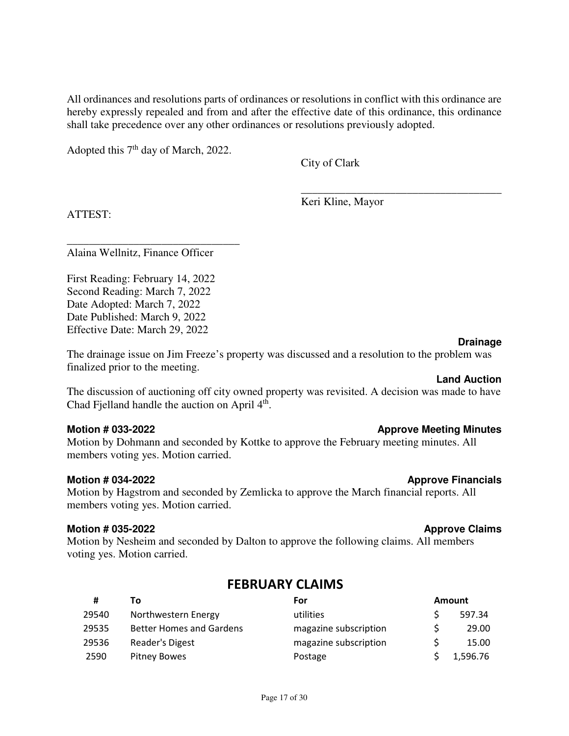All ordinances and resolutions parts of ordinances or resolutions in conflict with this ordinance are hereby expressly repealed and from and after the effective date of this ordinance, this ordinance shall take precedence over any other ordinances or resolutions previously adopted.

 $\overline{\phantom{a}}$  , which is a set of the set of the set of the set of the set of the set of the set of the set of the set of the set of the set of the set of the set of the set of the set of the set of the set of the set of th

Adopted this  $7<sup>th</sup>$  day of March, 2022.

City of Clark

Keri Kline, Mayor

ATTEST:

Alaina Wellnitz, Finance Officer

\_\_\_\_\_\_\_\_\_\_\_\_\_\_\_\_\_\_\_\_\_\_\_\_\_\_\_\_\_\_\_

First Reading: February 14, 2022 Second Reading: March 7, 2022 Date Adopted: March 7, 2022 Date Published: March 9, 2022 Effective Date: March 29, 2022

#### **Drainage**

The drainage issue on Jim Freeze's property was discussed and a resolution to the problem was finalized prior to the meeting.

### **Land Auction**

The discussion of auctioning off city owned property was revisited. A decision was made to have Chad Fjelland handle the auction on April  $4<sup>th</sup>$ .

#### **Motion # 033-2022 Approve Meeting Minutes Approve Meeting Minutes**

Motion by Dohmann and seconded by Kottke to approve the February meeting minutes. All members voting yes. Motion carried.

#### **Motion # 034-2022 Approve Financials**

Motion by Hagstrom and seconded by Zemlicka to approve the March financial reports. All members voting yes. Motion carried.

#### **Motion # 035-2022 Approve Claims Approve Claims**

Motion by Nesheim and seconded by Dalton to approve the following claims. All members voting yes. Motion carried.

## FEBRUARY CLAIMS

| #     | Т٥                              | For                   | <b>Amount</b> |
|-------|---------------------------------|-----------------------|---------------|
| 29540 | Northwestern Energy             | utilities             | 597.34        |
| 29535 | <b>Better Homes and Gardens</b> | magazine subscription | 29.00         |
| 29536 | Reader's Digest                 | magazine subscription | 15.00         |
| 2590  | <b>Pitney Bowes</b>             | Postage               | 1,596.76      |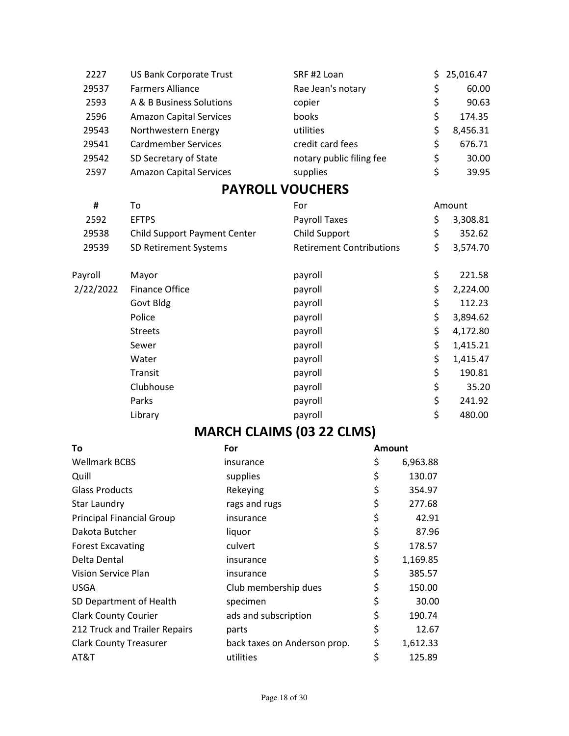| 2227  | <b>US Bank Corporate Trust</b> | SRF #2 Loan              | S. | 25,016.47 |
|-------|--------------------------------|--------------------------|----|-----------|
| 29537 | <b>Farmers Alliance</b>        | Rae Jean's notary        | \$ | 60.00     |
| 2593  | A & B Business Solutions       | copier                   | \$ | 90.63     |
| 2596  | <b>Amazon Capital Services</b> | books                    | Ś  | 174.35    |
| 29543 | Northwestern Energy            | utilities                |    | 8,456.31  |
| 29541 | <b>Cardmember Services</b>     | credit card fees         | Ś  | 676.71    |
| 29542 | SD Secretary of State          | notary public filing fee | \$ | 30.00     |
| 2597  | <b>Amazon Capital Services</b> | supplies                 | Ś  | 39.95     |

# PAYROLL VOUCHERS

| #         | To                                  | For                             | Amount         |
|-----------|-------------------------------------|---------------------------------|----------------|
| 2592      | <b>EFTPS</b>                        | Payroll Taxes                   | \$<br>3,308.81 |
| 29538     | <b>Child Support Payment Center</b> | Child Support                   | \$<br>352.62   |
| 29539     | SD Retirement Systems               | <b>Retirement Contributions</b> | \$<br>3,574.70 |
| Payroll   | Mayor                               | payroll                         | \$<br>221.58   |
| 2/22/2022 | <b>Finance Office</b>               | payroll                         | \$<br>2,224.00 |
|           | Govt Bldg                           | payroll                         | \$<br>112.23   |
|           | Police                              | payroll                         | \$<br>3,894.62 |
|           | <b>Streets</b>                      | payroll                         | \$<br>4,172.80 |
|           | Sewer                               | payroll                         | \$<br>1,415.21 |
|           | Water                               | payroll                         | \$<br>1,415.47 |
|           | Transit                             | payroll                         | \$<br>190.81   |
|           | Clubhouse                           | payroll                         | \$<br>35.20    |
|           | Parks                               | payroll                         | \$<br>241.92   |
|           | Library                             | payroll                         | \$<br>480.00   |

# MARCH CLAIMS (03 22 CLMS)

| To                               | For                          | <b>Amount</b>  |
|----------------------------------|------------------------------|----------------|
| <b>Wellmark BCBS</b>             | insurance                    | \$<br>6,963.88 |
| Quill                            | supplies                     | \$<br>130.07   |
| <b>Glass Products</b>            | Rekeying                     | \$<br>354.97   |
| Star Laundry                     | rags and rugs                | \$<br>277.68   |
| <b>Principal Financial Group</b> | insurance                    | \$<br>42.91    |
| Dakota Butcher                   | liquor                       | \$<br>87.96    |
| <b>Forest Excavating</b>         | culvert                      | \$<br>178.57   |
| Delta Dental                     | insurance                    | \$<br>1,169.85 |
| Vision Service Plan              | insurance                    | \$<br>385.57   |
| <b>USGA</b>                      | Club membership dues         | \$<br>150.00   |
| SD Department of Health          | specimen                     | \$<br>30.00    |
| <b>Clark County Courier</b>      | ads and subscription         | \$<br>190.74   |
| 212 Truck and Trailer Repairs    | parts                        | \$<br>12.67    |
| <b>Clark County Treasurer</b>    | back taxes on Anderson prop. | \$<br>1,612.33 |
| AT&T                             | utilities                    | \$<br>125.89   |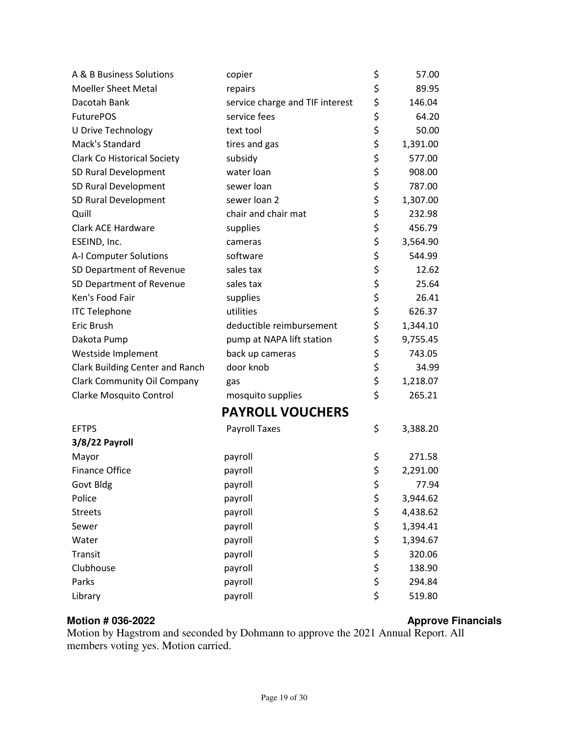| A & B Business Solutions           | copier                          | \$       | 57.00    |  |
|------------------------------------|---------------------------------|----------|----------|--|
| <b>Moeller Sheet Metal</b>         | repairs                         | \$       | 89.95    |  |
| Dacotah Bank                       | service charge and TIF interest | \$       | 146.04   |  |
| <b>FuturePOS</b>                   | service fees                    | \$       | 64.20    |  |
| U Drive Technology                 | text tool                       | \$       | 50.00    |  |
| Mack's Standard                    | tires and gas                   | \$       | 1,391.00 |  |
| <b>Clark Co Historical Society</b> | subsidy                         | \$       | 577.00   |  |
| SD Rural Development               | water loan                      | \$       | 908.00   |  |
| SD Rural Development               | sewer loan                      | \$       | 787.00   |  |
| SD Rural Development               | sewer loan 2                    | \$       | 1,307.00 |  |
| Quill                              | chair and chair mat             | \$       | 232.98   |  |
| Clark ACE Hardware                 | supplies                        | \$       | 456.79   |  |
| ESEIND, Inc.                       | cameras                         | \$       | 3,564.90 |  |
| A-I Computer Solutions             | software                        | \$       | 544.99   |  |
| SD Department of Revenue           | sales tax                       | \$       | 12.62    |  |
| SD Department of Revenue           | sales tax                       | \$       | 25.64    |  |
| Ken's Food Fair                    | supplies                        | \$       | 26.41    |  |
| <b>ITC Telephone</b>               | utilities                       | \$       | 626.37   |  |
| Eric Brush                         | deductible reimbursement        | \$       | 1,344.10 |  |
| Dakota Pump                        | pump at NAPA lift station       | \$       | 9,755.45 |  |
| Westside Implement                 | back up cameras                 | \$       | 743.05   |  |
| Clark Building Center and Ranch    | door knob                       | \$       | 34.99    |  |
| <b>Clark Community Oil Company</b> | gas                             | \$       | 1,218.07 |  |
| Clarke Mosquito Control            | mosquito supplies               | \$       | 265.21   |  |
| <b>PAYROLL VOUCHERS</b>            |                                 |          |          |  |
| <b>EFTPS</b>                       | <b>Payroll Taxes</b>            | \$       | 3,388.20 |  |
| 3/8/22 Payroll                     |                                 |          |          |  |
| Mayor                              | payroll                         | \$       | 271.58   |  |
| <b>Finance Office</b>              | payroll                         | \$       | 2,291.00 |  |
| Govt Bldg                          | payroll                         | \$       | 77.94    |  |
| Police                             | payroll                         | \$       | 3,944.62 |  |
| <b>Streets</b>                     | payroll                         | \$       | 4,438.62 |  |
| Sewer                              | payroll                         | \$       | 1,394.41 |  |
| Water                              | payroll                         | \$       | 1,394.67 |  |
| Transit                            | payroll                         | \$       | 320.06   |  |
| Clubhouse                          | payroll                         |          | 138.90   |  |
| Parks                              | payroll                         | \$<br>\$ | 294.84   |  |
| Library                            | payroll                         | \$       | 519.80   |  |
|                                    |                                 |          |          |  |

#### Motion # 036-2022 **Alternative Structure 1 and 2018** Approve Financials

Motion by Hagstrom and seconded by Dohmann to approve the 2021 Annual Report. All members voting yes. Motion carried.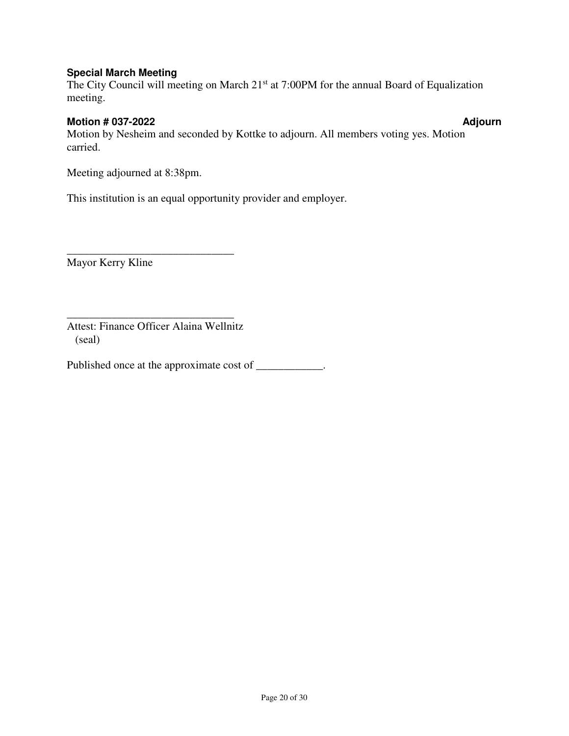### **Special March Meeting**

The City Council will meeting on March 21<sup>st</sup> at 7:00PM for the annual Board of Equalization meeting.

#### **Motion # 037-2022 Adjourn 2018 12:00 Adjourn 2018 12:00 Adjourn 2018 12:00 Adjourn 2018 12:00 Adjourn 2018 12:00 Adjourn 2018 12:00 Adjourn 2018 12:00 Adjourn 2018 12:00 Adjourn 2018 12:00 Adjourn 2018 12:00 Adjourn 2018**

Motion by Nesheim and seconded by Kottke to adjourn. All members voting yes. Motion carried.

Meeting adjourned at 8:38pm.

This institution is an equal opportunity provider and employer.

Mayor Kerry Kline

\_\_\_\_\_\_\_\_\_\_\_\_\_\_\_\_\_\_\_\_\_\_\_\_\_\_\_\_\_\_ Attest: Finance Officer Alaina Wellnitz (seal)

\_\_\_\_\_\_\_\_\_\_\_\_\_\_\_\_\_\_\_\_\_\_\_\_\_\_\_\_\_\_

Published once at the approximate cost of \_\_\_\_\_\_\_\_\_\_\_.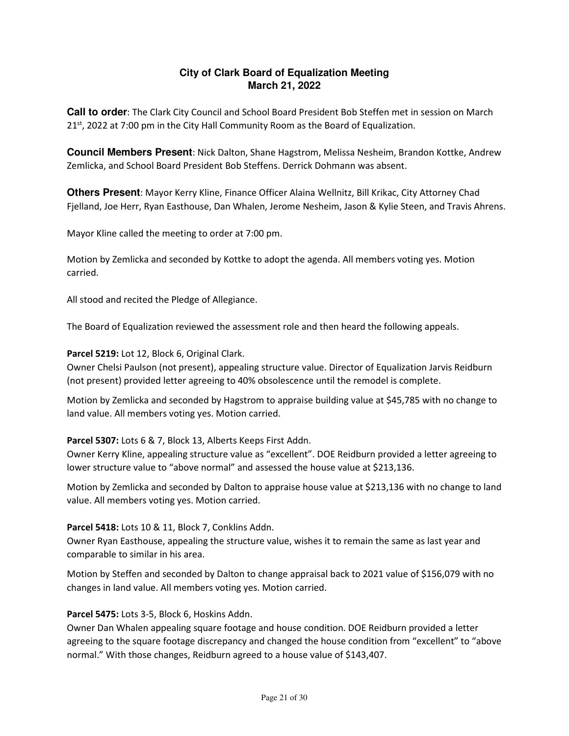### **City of Clark Board of Equalization Meeting March 21, 2022**

**Call to order**: The Clark City Council and School Board President Bob Steffen met in session on March  $21<sup>st</sup>$ , 2022 at 7:00 pm in the City Hall Community Room as the Board of Equalization.

**Council Members Present**: Nick Dalton, Shane Hagstrom, Melissa Nesheim, Brandon Kottke, Andrew Zemlicka, and School Board President Bob Steffens. Derrick Dohmann was absent.

**Others Present**: Mayor Kerry Kline, Finance Officer Alaina Wellnitz, Bill Krikac, City Attorney Chad Fjelland, Joe Herr, Ryan Easthouse, Dan Whalen, Jerome Nesheim, Jason & Kylie Steen, and Travis Ahrens.

Mayor Kline called the meeting to order at 7:00 pm.

Motion by Zemlicka and seconded by Kottke to adopt the agenda. All members voting yes. Motion carried.

All stood and recited the Pledge of Allegiance.

The Board of Equalization reviewed the assessment role and then heard the following appeals.

Parcel 5219: Lot 12, Block 6, Original Clark.

Owner Chelsi Paulson (not present), appealing structure value. Director of Equalization Jarvis Reidburn (not present) provided letter agreeing to 40% obsolescence until the remodel is complete.

Motion by Zemlicka and seconded by Hagstrom to appraise building value at \$45,785 with no change to land value. All members voting yes. Motion carried.

Parcel 5307: Lots 6 & 7, Block 13, Alberts Keeps First Addn.

Owner Kerry Kline, appealing structure value as "excellent". DOE Reidburn provided a letter agreeing to lower structure value to "above normal" and assessed the house value at \$213,136.

Motion by Zemlicka and seconded by Dalton to appraise house value at \$213,136 with no change to land value. All members voting yes. Motion carried.

#### Parcel 5418: Lots 10 & 11, Block 7, Conklins Addn.

Owner Ryan Easthouse, appealing the structure value, wishes it to remain the same as last year and comparable to similar in his area.

Motion by Steffen and seconded by Dalton to change appraisal back to 2021 value of \$156,079 with no changes in land value. All members voting yes. Motion carried.

#### Parcel 5475: Lots 3-5, Block 6, Hoskins Addn.

Owner Dan Whalen appealing square footage and house condition. DOE Reidburn provided a letter agreeing to the square footage discrepancy and changed the house condition from "excellent" to "above normal." With those changes, Reidburn agreed to a house value of \$143,407.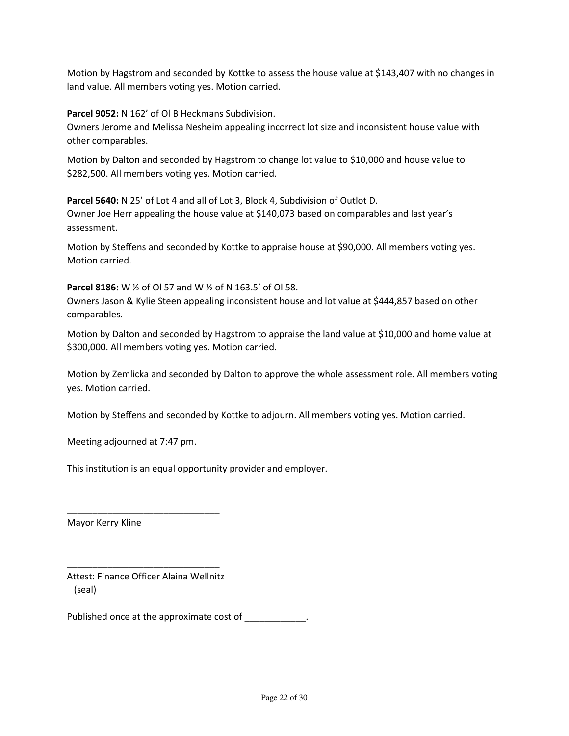Motion by Hagstrom and seconded by Kottke to assess the house value at \$143,407 with no changes in land value. All members voting yes. Motion carried.

Parcel 9052: N 162' of Ol B Heckmans Subdivision.

Owners Jerome and Melissa Nesheim appealing incorrect lot size and inconsistent house value with other comparables.

Motion by Dalton and seconded by Hagstrom to change lot value to \$10,000 and house value to \$282,500. All members voting yes. Motion carried.

Parcel 5640: N 25' of Lot 4 and all of Lot 3, Block 4, Subdivision of Outlot D. Owner Joe Herr appealing the house value at \$140,073 based on comparables and last year's assessment.

Motion by Steffens and seconded by Kottke to appraise house at \$90,000. All members voting yes. Motion carried.

Parcel 8186: W ½ of Ol 57 and W ½ of N 163.5' of Ol 58.

Owners Jason & Kylie Steen appealing inconsistent house and lot value at \$444,857 based on other comparables.

Motion by Dalton and seconded by Hagstrom to appraise the land value at \$10,000 and home value at \$300,000. All members voting yes. Motion carried.

Motion by Zemlicka and seconded by Dalton to approve the whole assessment role. All members voting yes. Motion carried.

Motion by Steffens and seconded by Kottke to adjourn. All members voting yes. Motion carried.

Meeting adjourned at 7:47 pm.

This institution is an equal opportunity provider and employer.

Mayor Kerry Kline

Attest: Finance Officer Alaina Wellnitz (seal)

\_\_\_\_\_\_\_\_\_\_\_\_\_\_\_\_\_\_\_\_\_\_\_\_\_\_\_\_\_\_

\_\_\_\_\_\_\_\_\_\_\_\_\_\_\_\_\_\_\_\_\_\_\_\_\_\_\_\_\_\_

Published once at the approximate cost of \_\_\_\_\_\_\_\_\_\_\_\_.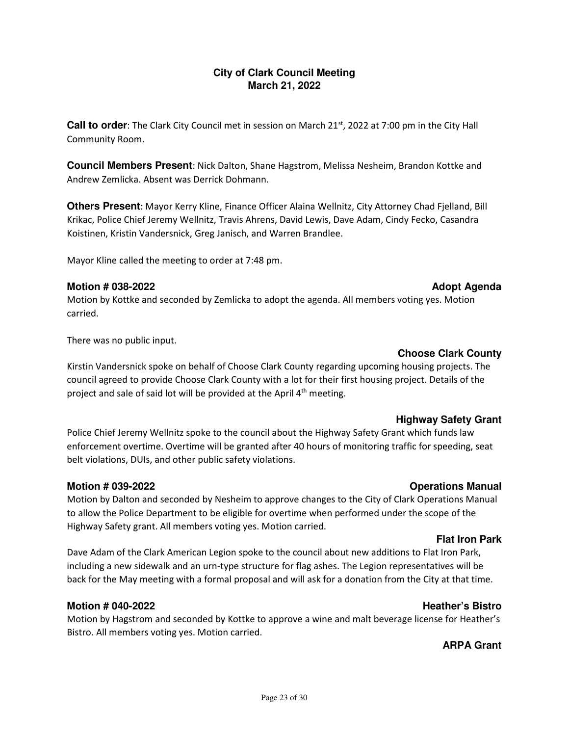### **City of Clark Council Meeting March 21, 2022**

**Call to order**: The Clark City Council met in session on March 21<sup>st</sup>, 2022 at 7:00 pm in the City Hall Community Room.

**Council Members Present**: Nick Dalton, Shane Hagstrom, Melissa Nesheim, Brandon Kottke and Andrew Zemlicka. Absent was Derrick Dohmann.

**Others Present**: Mayor Kerry Kline, Finance Officer Alaina Wellnitz, City Attorney Chad Fjelland, Bill Krikac, Police Chief Jeremy Wellnitz, Travis Ahrens, David Lewis, Dave Adam, Cindy Fecko, Casandra Koistinen, Kristin Vandersnick, Greg Janisch, and Warren Brandlee.

Mayor Kline called the meeting to order at 7:48 pm.

#### **Motion # 038-2022 Adopt Agenda 100 Adopt Agenda 100 Adopt Agenda 100 Adopt Agenda 100 Adopt Agenda 100 Adopt Agenda**

### Motion by Kottke and seconded by Zemlicka to adopt the agenda. All members voting yes. Motion carried.

There was no public input.

#### **Choose Clark County**

Kirstin Vandersnick spoke on behalf of Choose Clark County regarding upcoming housing projects. The council agreed to provide Choose Clark County with a lot for their first housing project. Details of the project and sale of said lot will be provided at the April  $4<sup>th</sup>$  meeting.

#### **Highway Safety Grant**

Police Chief Jeremy Wellnitz spoke to the council about the Highway Safety Grant which funds law enforcement overtime. Overtime will be granted after 40 hours of monitoring traffic for speeding, seat belt violations, DUIs, and other public safety violations.

### **Motion # 039-2022 Operations Manual**

Motion by Dalton and seconded by Nesheim to approve changes to the City of Clark Operations Manual to allow the Police Department to be eligible for overtime when performed under the scope of the Highway Safety grant. All members voting yes. Motion carried.

#### **Flat Iron Park**

Dave Adam of the Clark American Legion spoke to the council about new additions to Flat Iron Park, including a new sidewalk and an urn-type structure for flag ashes. The Legion representatives will be back for the May meeting with a formal proposal and will ask for a donation from the City at that time.

#### **Motion # 040-2022 Heather's Bistro** *Motion # 040-2022*

Motion by Hagstrom and seconded by Kottke to approve a wine and malt beverage license for Heather's Bistro. All members voting yes. Motion carried.

### **ARPA Grant**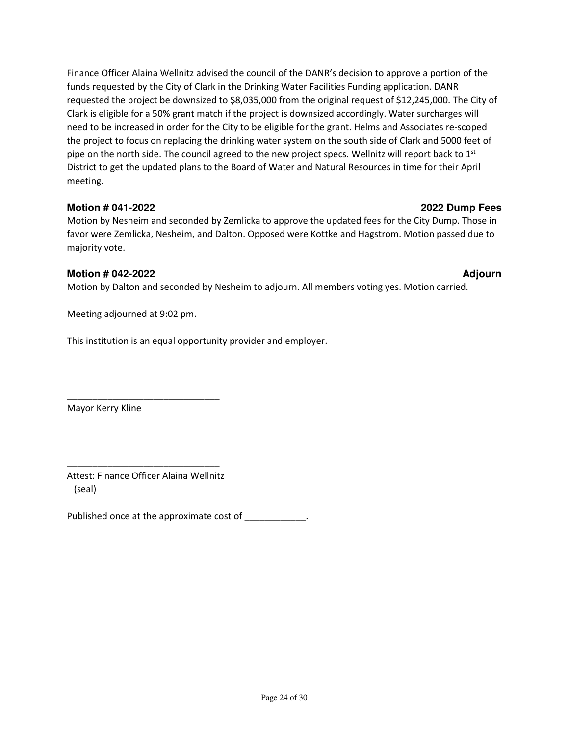Finance Officer Alaina Wellnitz advised the council of the DANR's decision to approve a portion of the funds requested by the City of Clark in the Drinking Water Facilities Funding application. DANR requested the project be downsized to \$8,035,000 from the original request of \$12,245,000. The City of Clark is eligible for a 50% grant match if the project is downsized accordingly. Water surcharges will need to be increased in order for the City to be eligible for the grant. Helms and Associates re-scoped the project to focus on replacing the drinking water system on the south side of Clark and 5000 feet of pipe on the north side. The council agreed to the new project specs. Wellnitz will report back to  $1<sup>st</sup>$ District to get the updated plans to the Board of Water and Natural Resources in time for their April meeting.

#### **Motion # 041-2022 2022 Dump Fees**

Motion by Nesheim and seconded by Zemlicka to approve the updated fees for the City Dump. Those in favor were Zemlicka, Nesheim, and Dalton. Opposed were Kottke and Hagstrom. Motion passed due to majority vote.

#### **Motion # 042-2022 Adjourn 2010 12:00:00 Adjourn 2010 12:00:00 Adjourn 20:00:00 Adjourn 20:00:00 Adjourn 20:00**

Motion by Dalton and seconded by Nesheim to adjourn. All members voting yes. Motion carried.

Meeting adjourned at 9:02 pm.

This institution is an equal opportunity provider and employer.

Mayor Kerry Kline

Attest: Finance Officer Alaina Wellnitz (seal)

\_\_\_\_\_\_\_\_\_\_\_\_\_\_\_\_\_\_\_\_\_\_\_\_\_\_\_\_\_\_

\_\_\_\_\_\_\_\_\_\_\_\_\_\_\_\_\_\_\_\_\_\_\_\_\_\_\_\_\_\_

Published once at the approximate cost of \_\_\_\_\_\_\_\_\_\_\_\_.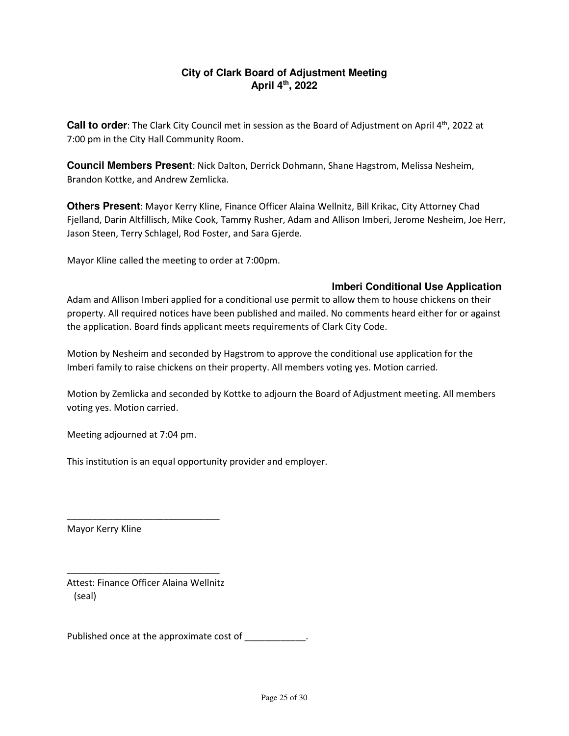### **City of Clark Board of Adjustment Meeting April 4th, 2022**

**Call to order**: The Clark City Council met in session as the Board of Adjustment on April 4<sup>th</sup>, 2022 at 7:00 pm in the City Hall Community Room.

**Council Members Present**: Nick Dalton, Derrick Dohmann, Shane Hagstrom, Melissa Nesheim, Brandon Kottke, and Andrew Zemlicka.

**Others Present**: Mayor Kerry Kline, Finance Officer Alaina Wellnitz, Bill Krikac, City Attorney Chad Fjelland, Darin Altfillisch, Mike Cook, Tammy Rusher, Adam and Allison Imberi, Jerome Nesheim, Joe Herr, Jason Steen, Terry Schlagel, Rod Foster, and Sara Gjerde.

Mayor Kline called the meeting to order at 7:00pm.

#### **Imberi Conditional Use Application**

Adam and Allison Imberi applied for a conditional use permit to allow them to house chickens on their property. All required notices have been published and mailed. No comments heard either for or against the application. Board finds applicant meets requirements of Clark City Code.

Motion by Nesheim and seconded by Hagstrom to approve the conditional use application for the Imberi family to raise chickens on their property. All members voting yes. Motion carried.

Motion by Zemlicka and seconded by Kottke to adjourn the Board of Adjustment meeting. All members voting yes. Motion carried.

Meeting adjourned at 7:04 pm.

This institution is an equal opportunity provider and employer.

Mayor Kerry Kline

Attest: Finance Officer Alaina Wellnitz (seal)

\_\_\_\_\_\_\_\_\_\_\_\_\_\_\_\_\_\_\_\_\_\_\_\_\_\_\_\_\_\_

\_\_\_\_\_\_\_\_\_\_\_\_\_\_\_\_\_\_\_\_\_\_\_\_\_\_\_\_\_\_

Published once at the approximate cost of \_\_\_\_\_\_\_\_\_\_\_\_.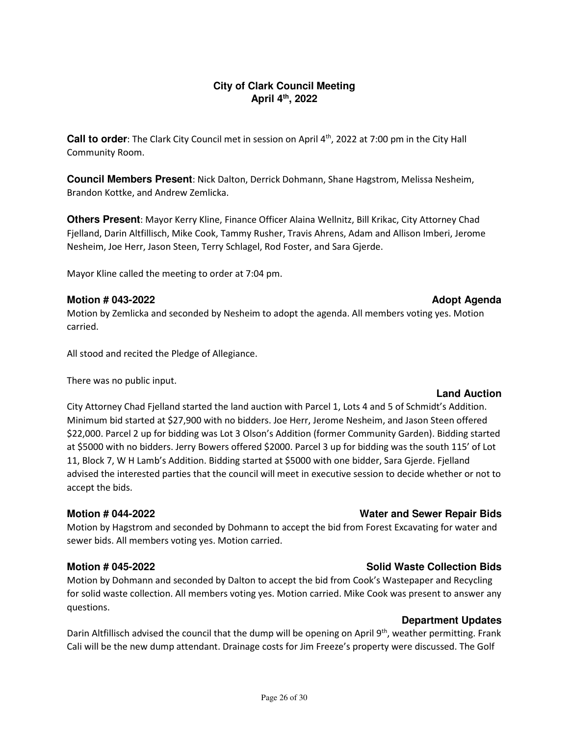#### **City of Clark Council Meeting April 4th, 2022**

**Call to order**: The Clark City Council met in session on April 4th, 2022 at 7:00 pm in the City Hall Community Room.

**Council Members Present**: Nick Dalton, Derrick Dohmann, Shane Hagstrom, Melissa Nesheim, Brandon Kottke, and Andrew Zemlicka.

**Others Present**: Mayor Kerry Kline, Finance Officer Alaina Wellnitz, Bill Krikac, City Attorney Chad Fjelland, Darin Altfillisch, Mike Cook, Tammy Rusher, Travis Ahrens, Adam and Allison Imberi, Jerome Nesheim, Joe Herr, Jason Steen, Terry Schlagel, Rod Foster, and Sara Gjerde.

Mayor Kline called the meeting to order at 7:04 pm.

### **Motion # 043-2022 Adopt Agenda 10.000 Motion # 043-2022 Adopt Agenda**

Motion by Zemlicka and seconded by Nesheim to adopt the agenda. All members voting yes. Motion carried.

All stood and recited the Pledge of Allegiance.

There was no public input.

### **Land Auction**

City Attorney Chad Fjelland started the land auction with Parcel 1, Lots 4 and 5 of Schmidt's Addition. Minimum bid started at \$27,900 with no bidders. Joe Herr, Jerome Nesheim, and Jason Steen offered \$22,000. Parcel 2 up for bidding was Lot 3 Olson's Addition (former Community Garden). Bidding started at \$5000 with no bidders. Jerry Bowers offered \$2000. Parcel 3 up for bidding was the south 115' of Lot 11, Block 7, W H Lamb's Addition. Bidding started at \$5000 with one bidder, Sara Gjerde. Fjelland advised the interested parties that the council will meet in executive session to decide whether or not to accept the bids.

## **Motion # 044-2022 Water and Sewer Repair Bids**

Motion by Hagstrom and seconded by Dohmann to accept the bid from Forest Excavating for water and sewer bids. All members voting yes. Motion carried.

# **Motion # 045-2022** Solid Waste Collection Bids **Solid Waste Collection Bids**

Motion by Dohmann and seconded by Dalton to accept the bid from Cook's Wastepaper and Recycling for solid waste collection. All members voting yes. Motion carried. Mike Cook was present to answer any questions.

Darin Altfillisch advised the council that the dump will be opening on April 9<sup>th</sup>, weather permitting. Frank Cali will be the new dump attendant. Drainage costs for Jim Freeze's property were discussed. The Golf

**Department Updates**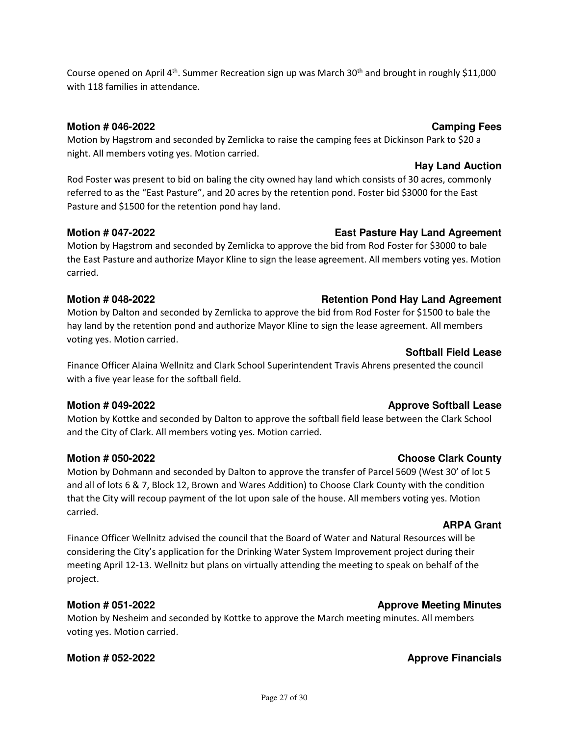Course opened on April 4<sup>th</sup>. Summer Recreation sign up was March 30<sup>th</sup> and brought in roughly \$11,000 with 118 families in attendance.

### **Motion # 046-2022** Camping Fees **Camping Fees**

Motion by Hagstrom and seconded by Zemlicka to raise the camping fees at Dickinson Park to \$20 a night. All members voting yes. Motion carried.

## **Hay Land Auction**

Rod Foster was present to bid on baling the city owned hay land which consists of 30 acres, commonly referred to as the "East Pasture", and 20 acres by the retention pond. Foster bid \$3000 for the East Pasture and \$1500 for the retention pond hay land.

### **Motion # 047-2022 East Pasture Hay Land Agreement**

Motion by Hagstrom and seconded by Zemlicka to approve the bid from Rod Foster for \$3000 to bale the East Pasture and authorize Mayor Kline to sign the lease agreement. All members voting yes. Motion carried.

### **Motion # 048-2022 Retention Pond Hay Land Agreement**

Motion by Dalton and seconded by Zemlicka to approve the bid from Rod Foster for \$1500 to bale the hay land by the retention pond and authorize Mayor Kline to sign the lease agreement. All members voting yes. Motion carried.

Finance Officer Alaina Wellnitz and Clark School Superintendent Travis Ahrens presented the council with a five year lease for the softball field.

## **Motion # 049-2022 Approve Softball Lease**

Motion by Kottke and seconded by Dalton to approve the softball field lease between the Clark School and the City of Clark. All members voting yes. Motion carried.

Motion by Dohmann and seconded by Dalton to approve the transfer of Parcel 5609 (West 30' of lot 5 and all of lots 6 & 7, Block 12, Brown and Wares Addition) to Choose Clark County with the condition that the City will recoup payment of the lot upon sale of the house. All members voting yes. Motion carried.

### **ARPA Grant**

Finance Officer Wellnitz advised the council that the Board of Water and Natural Resources will be considering the City's application for the Drinking Water System Improvement project during their meeting April 12-13. Wellnitz but plans on virtually attending the meeting to speak on behalf of the project.

### **Motion # 051-2022 Approve Meeting Minutes**

Motion by Nesheim and seconded by Kottke to approve the March meeting minutes. All members voting yes. Motion carried.

### **Motion # 052-2022 Approve Financials**

# **Motion # 050-2022 Choose Clark County**

**Softball Field Lease** 

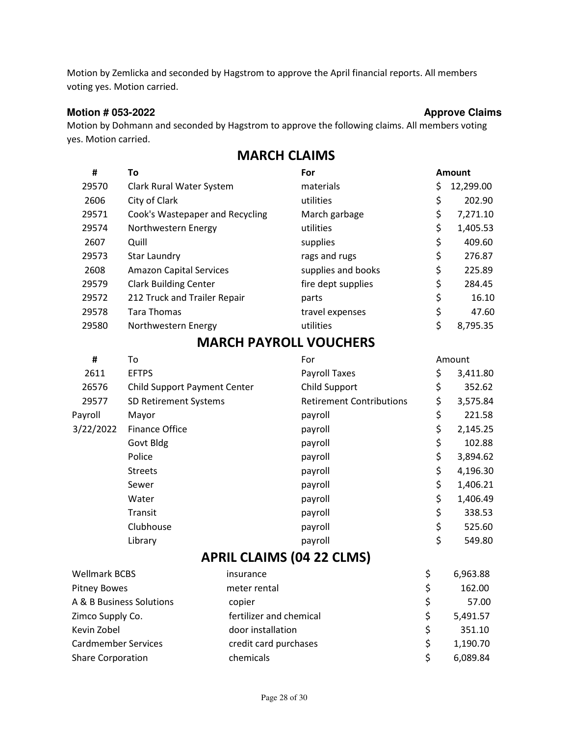Motion by Zemlicka and seconded by Hagstrom to approve the April financial reports. All members voting yes. Motion carried.

#### Motion # 053-2022 **Approve Claims Approve Claims**

Motion by Dohmann and seconded by Hagstrom to approve the following claims. All members voting yes. Motion carried.

| #     | To                              | For                | <b>Amount</b>   |
|-------|---------------------------------|--------------------|-----------------|
| 29570 | Clark Rural Water System        | materials          | \$<br>12,299.00 |
| 2606  | City of Clark                   | utilities          | \$<br>202.90    |
| 29571 | Cook's Wastepaper and Recycling | March garbage      | \$<br>7,271.10  |
| 29574 | Northwestern Energy             | utilities          | \$<br>1,405.53  |
| 2607  | Quill                           | supplies           | \$<br>409.60    |
| 29573 | <b>Star Laundry</b>             | rags and rugs      | \$<br>276.87    |
| 2608  | <b>Amazon Capital Services</b>  | supplies and books | \$<br>225.89    |
| 29579 | <b>Clark Building Center</b>    | fire dept supplies | \$<br>284.45    |
| 29572 | 212 Truck and Trailer Repair    | parts              | \$<br>16.10     |
| 29578 | Tara Thomas                     | travel expenses    | \$<br>47.60     |
| 29580 | Northwestern Energy             | utilities          | \$<br>8,795.35  |
|       |                                 |                    |                 |

# MARCH CLAIMS

## MARCH PAYROLL VOUCHERS

| #         | To                                  | For                             | Amount |          |
|-----------|-------------------------------------|---------------------------------|--------|----------|
| 2611      | <b>EFTPS</b>                        | Payroll Taxes                   | \$     | 3,411.80 |
| 26576     | <b>Child Support Payment Center</b> | Child Support                   | \$     | 352.62   |
| 29577     | SD Retirement Systems               | <b>Retirement Contributions</b> | \$     | 3,575.84 |
| Payroll   | Mayor                               | payroll                         | \$     | 221.58   |
| 3/22/2022 | Finance Office                      | payroll                         | \$     | 2,145.25 |
|           | Govt Bldg                           | payroll                         | \$     | 102.88   |
|           | Police                              | payroll                         | \$     | 3,894.62 |
|           | <b>Streets</b>                      | payroll                         | \$     | 4,196.30 |
|           | Sewer                               | payroll                         | \$     | 1,406.21 |
|           | Water                               | payroll                         | \$     | 1,406.49 |
|           | Transit                             | payroll                         | \$     | 338.53   |
|           | Clubhouse                           | payroll                         | \$     | 525.60   |
|           | Library                             | payroll                         | \$     | 549.80   |

# APRIL CLAIMS (04 22 CLMS)

| <b>Wellmark BCBS</b>       | insurance               |   | 6,963.88 |
|----------------------------|-------------------------|---|----------|
| <b>Pitney Bowes</b>        | meter rental            |   | 162.00   |
| A & B Business Solutions   | copier                  | S | 57.00    |
| Zimco Supply Co.           | fertilizer and chemical |   | 5,491.57 |
| Kevin Zobel                | door installation       | S | 351.10   |
| <b>Cardmember Services</b> | credit card purchases   |   | 1,190.70 |
| <b>Share Corporation</b>   | chemicals               |   | 6,089.84 |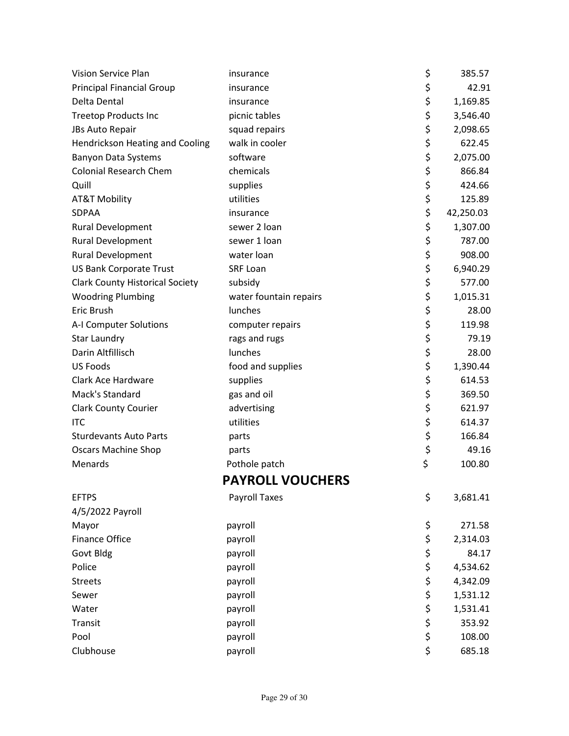| <b>Vision Service Plan</b>             | insurance               | \$<br>385.57    |
|----------------------------------------|-------------------------|-----------------|
| <b>Principal Financial Group</b>       | insurance               | \$<br>42.91     |
| Delta Dental                           | insurance               | \$<br>1,169.85  |
| <b>Treetop Products Inc</b>            | picnic tables           | \$<br>3,546.40  |
| JBs Auto Repair                        | squad repairs           | \$<br>2,098.65  |
| Hendrickson Heating and Cooling        | walk in cooler          | \$<br>622.45    |
| <b>Banyon Data Systems</b>             | software                | \$<br>2,075.00  |
| <b>Colonial Research Chem</b>          | chemicals               | \$<br>866.84    |
| Quill                                  | supplies                | \$<br>424.66    |
| <b>AT&amp;T Mobility</b>               | utilities               | \$<br>125.89    |
| SDPAA                                  | insurance               | \$<br>42,250.03 |
| <b>Rural Development</b>               | sewer 2 loan            | \$<br>1,307.00  |
| <b>Rural Development</b>               | sewer 1 loan            | \$<br>787.00    |
| Rural Development                      | water loan              | \$<br>908.00    |
| <b>US Bank Corporate Trust</b>         | <b>SRF Loan</b>         | \$<br>6,940.29  |
| <b>Clark County Historical Society</b> | subsidy                 | \$<br>577.00    |
| <b>Woodring Plumbing</b>               | water fountain repairs  | \$<br>1,015.31  |
| Eric Brush                             | lunches                 | \$<br>28.00     |
| A-I Computer Solutions                 | computer repairs        | \$<br>119.98    |
| <b>Star Laundry</b>                    | rags and rugs           | \$<br>79.19     |
| Darin Altfillisch                      | lunches                 | \$<br>28.00     |
| <b>US Foods</b>                        | food and supplies       | \$<br>1,390.44  |
| Clark Ace Hardware                     | supplies                | \$<br>614.53    |
| Mack's Standard                        | gas and oil             | \$<br>369.50    |
| <b>Clark County Courier</b>            | advertising             | \$<br>621.97    |
| <b>ITC</b>                             | utilities               | \$<br>614.37    |
| <b>Sturdevants Auto Parts</b>          | parts                   | \$<br>166.84    |
| <b>Oscars Machine Shop</b>             | parts                   | \$<br>49.16     |
| Menards                                | Pothole patch           | \$<br>100.80    |
|                                        | <b>PAYROLL VOUCHERS</b> |                 |
| <b>EFTPS</b>                           | <b>Payroll Taxes</b>    | \$<br>3,681.41  |
| 4/5/2022 Payroll                       |                         |                 |
| Mayor                                  | payroll                 | \$<br>271.58    |
| <b>Finance Office</b>                  | payroll                 | \$<br>2,314.03  |
| Govt Bldg                              | payroll                 | \$<br>84.17     |
| Police                                 | payroll                 | \$<br>4,534.62  |
| <b>Streets</b>                         | payroll                 | \$<br>4,342.09  |
| Sewer                                  | payroll                 | \$<br>1,531.12  |
| Water                                  | payroll                 | \$<br>1,531.41  |
| Transit                                | payroll                 | \$<br>353.92    |
| Pool                                   | payroll                 | \$<br>108.00    |
| Clubhouse                              | payroll                 | \$<br>685.18    |